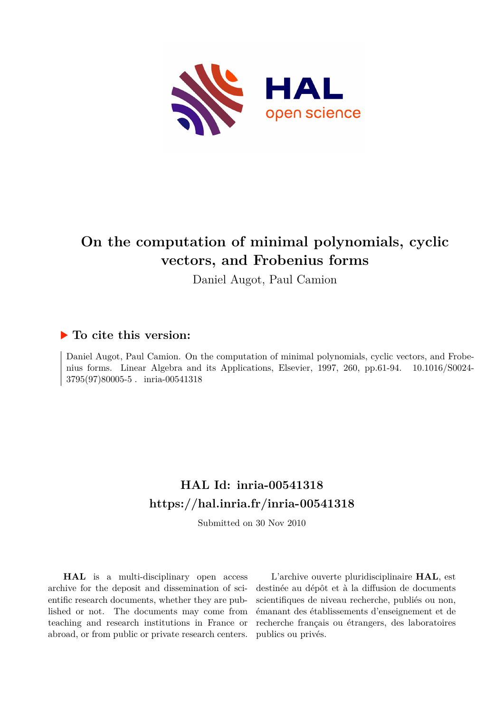

# **On the computation of minimal polynomials, cyclic vectors, and Frobenius forms**

Daniel Augot, Paul Camion

# **To cite this version:**

Daniel Augot, Paul Camion. On the computation of minimal polynomials, cyclic vectors, and Frobenius forms. Linear Algebra and its Applications, Elsevier, 1997, 260, pp.61-94.  $10.1016/S0024-$ 3795(97)80005-5. inria-00541318

# **HAL Id: inria-00541318 <https://hal.inria.fr/inria-00541318>**

Submitted on 30 Nov 2010

**HAL** is a multi-disciplinary open access archive for the deposit and dissemination of scientific research documents, whether they are published or not. The documents may come from teaching and research institutions in France or abroad, or from public or private research centers.

L'archive ouverte pluridisciplinaire **HAL**, est destinée au dépôt et à la diffusion de documents scientifiques de niveau recherche, publiés ou non, émanant des établissements d'enseignement et de recherche français ou étrangers, des laboratoires publics ou privés.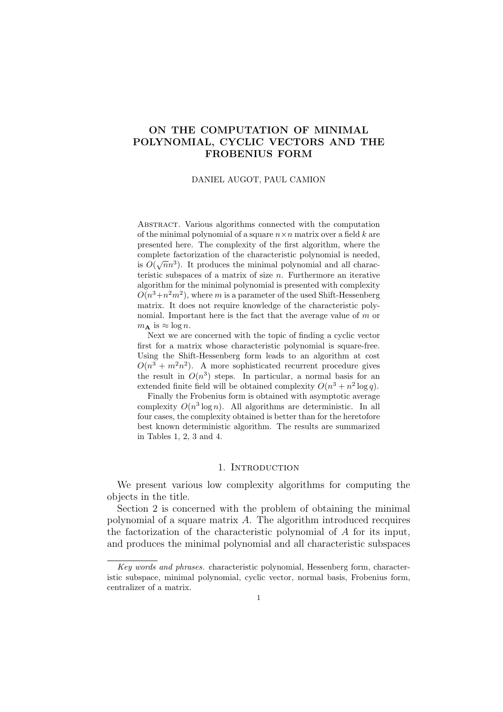## ON THE COMPUTATION OF MINIMAL POLYNOMIAL, CYCLIC VECTORS AND THE FROBENIUS FORM

#### DANIEL AUGOT, PAUL CAMION

Abstract. Various algorithms connected with the computation of the minimal polynomial of a square  $n \times n$  matrix over a field k are presented here. The complexity of the first algorithm, where the complete factorization of the characteristic polynomial is needed, is  $O(\sqrt{n}n^3)$ . It produces the minimal polynomial and all characteristic subspaces of a matrix of size  $n$ . Furthermore an iterative algorithm for the minimal polynomial is presented with complexity  $O(n^3 + n^2m^2)$ , where m is a parameter of the used Shift-Hessenberg matrix. It does not require knowledge of the characteristic polynomial. Important here is the fact that the average value of  $m$  or  $m_{\mathbf{A}}$  is  $\approx \log n$ .

Next we are concerned with the topic of finding a cyclic vector first for a matrix whose characteristic polynomial is square-free. Using the Shift-Hessenberg form leads to an algorithm at cost  $O(n^3 + m^2n^2)$ . A more sophisticated recurrent procedure gives the result in  $O(n^3)$  steps. In particular, a normal basis for an extended finite field will be obtained complexity  $O(n^3 + n^2 \log q)$ .

Finally the Frobenius form is obtained with asymptotic average complexity  $O(n^3 \log n)$ . All algorithms are deterministic. In all four cases, the complexity obtained is better than for the heretofore best known deterministic algorithm. The results are summarized in Tables 1, 2, 3 and 4.

### 1. INTRODUCTION

We present various low complexity algorithms for computing the objects in the title.

Section 2 is concerned with the problem of obtaining the minimal polynomial of a square matrix A. The algorithm introduced recquires the factorization of the characteristic polynomial of A for its input, and produces the minimal polynomial and all characteristic subspaces

Key words and phrases. characteristic polynomial, Hessenberg form, characteristic subspace, minimal polynomial, cyclic vector, normal basis, Frobenius form, centralizer of a matrix.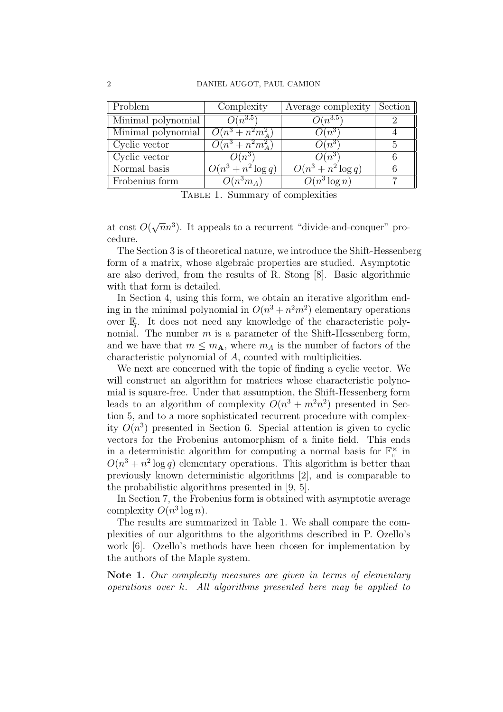| $\parallel$ Problem       | Complexity            | Average complexity         | Section |
|---------------------------|-----------------------|----------------------------|---------|
| Minimal polynomial        | $O(n^{3.5})$          | $\cdot \nu(n^{3.5})$       |         |
| Minimal polynomial        | $O(n^3 + n^2m_A^2)$   | $O(n^3)$                   |         |
| $\parallel$ Cyclic vector | $O(n^3 + n^2m_A^2)$   | $O(n^{3})$                 |         |
| $\parallel$ Cyclic vector | $O(n^3)$              | $O(n^3)$                   |         |
| Normal basis              | $O(n^3 + n^2 \log q)$ | $O(n^3 + n^2 \log q)$      |         |
| Frobenius form            | $O(n^3m_A)$           | $\overline{O(n^3 \log n)}$ |         |

TABLE 1. Summary of complexities

at cost  $O($  $\sqrt{n}n^3$ ). It appeals to a recurrent "divide-and-conquer" procedure.

The Section 3 is of theoretical nature, we introduce the Shift-Hessenberg form of a matrix, whose algebraic properties are studied. Asymptotic are also derived, from the results of R. Stong [8]. Basic algorithmic with that form is detailed.

In Section 4, using this form, we obtain an iterative algorithm ending in the minimal polynomial in  $O(n^3 + n^2m^2)$  elementary operations over  $\mathbb{F}_a$ . It does not need any knowledge of the characteristic polynomial. The number  $m$  is a parameter of the Shift-Hessenberg form, and we have that  $m \leq m_A$ , where  $m_A$  is the number of factors of the characteristic polynomial of A, counted with multiplicities.

We next are concerned with the topic of finding a cyclic vector. We will construct an algorithm for matrices whose characteristic polynomial is square-free. Under that assumption, the Shift-Hessenberg form leads to an algorithm of complexity  $O(n^3 + m^2n^2)$  presented in Section 5, and to a more sophisticated recurrent procedure with complexity  $O(n^3)$  presented in Section 6. Special attention is given to cyclic vectors for the Frobenius automorphism of a finite field. This ends in a deterministic algorithm for computing a normal basis for  $\mathbb{F}_n^{\ltimes}$  in  $O(n^3 + n^2 \log q)$  elementary operations. This algorithm is better than previously known deterministic algorithms [2], and is comparable to the probabilistic algorithms presented in [9, 5].

In Section 7, the Frobenius form is obtained with asymptotic average complexity  $O(n^3 \log n)$ .

The results are summarized in Table 1. We shall compare the complexities of our algorithms to the algorithms described in P. Ozello's work [6]. Ozello's methods have been chosen for implementation by the authors of the Maple system.

Note 1. Our complexity measures are given in terms of elementary operations over  $k$ . All algorithms presented here may be applied to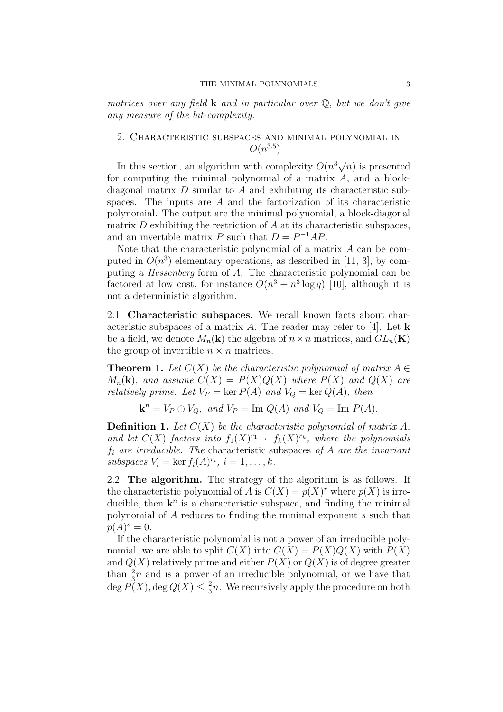matrices over any field **k** and in particular over  $\mathbb{Q}$ , but we don't give any measure of the bit-complexity.

## 2. Characteristic subspaces and minimal polynomial in  $O(n^{3.5})$

In this section, an algorithm with complexity  $O(n^3\sqrt{n})$  is presented for computing the minimal polynomial of a matrix  $A$ , and a blockdiagonal matrix  $D$  similar to  $A$  and exhibiting its characteristic subspaces. The inputs are A and the factorization of its characteristic polynomial. The output are the minimal polynomial, a block-diagonal matrix  $D$  exhibiting the restriction of  $A$  at its characteristic subspaces, and an invertible matrix P such that  $D = P^{-1}AP$ .

Note that the characteristic polynomial of a matrix A can be computed in  $O(n^3)$  elementary operations, as described in [11, 3], by computing a Hessenberg form of A. The characteristic polynomial can be factored at low cost, for instance  $O(n^3 + n^3 \log q)$  [10], although it is not a deterministic algorithm.

2.1. Characteristic subspaces. We recall known facts about characteristic subspaces of a matrix A. The reader may refer to [4]. Let  $\bf{k}$ be a field, we denote  $M_n(\mathbf{k})$  the algebra of  $n \times n$  matrices, and  $GL_n(\mathbf{K})$ the group of invertible  $n \times n$  matrices.

**Theorem 1.** Let  $C(X)$  be the characteristic polynomial of matrix  $A \in$  $M_n(\mathbf{k})$ , and assume  $C(X) = P(X)Q(X)$  where  $P(X)$  and  $Q(X)$  are relatively prime. Let  $V_P = \ker P(A)$  and  $V_Q = \ker Q(A)$ , then

 $\mathbf{k}^n = V_P \oplus V_Q$ , and  $V_P = \text{Im } Q(A)$  and  $V_Q = \text{Im } P(A)$ .

**Definition 1.** Let  $C(X)$  be the characteristic polynomial of matrix A, and let  $C(X)$  factors into  $f_1(X)^{r_1}\cdots f_k(X)^{r_k}$ , where the polynomials  $f_i$  are irreducible. The characteristic subspaces of A are the invariant subspaces  $V_i = \ker f_i(A)^{r_i}, i = 1, \ldots, k.$ 

2.2. The algorithm. The strategy of the algorithm is as follows. If the characteristic polynomial of A is  $C(X) = p(X)^r$  where  $p(X)$  is irreducible, then  $\mathbf{k}^n$  is a characteristic subspace, and finding the minimal polynomial of A reduces to finding the minimal exponent s such that  $p(A)^s = 0.$ 

If the characteristic polynomial is not a power of an irreducible polynomial, we are able to split  $C(X)$  into  $C(X) = P(X)Q(X)$  with  $P(X)$ and  $Q(X)$  relatively prime and either  $P(X)$  or  $Q(X)$  is of degree greater than  $\frac{2}{3}n$  and is a power of an irreducible polynomial, or we have that  $\deg P(X), \deg Q(X) \leq \frac{2}{3}$  $\frac{2}{3}n$ . We recursively apply the procedure on both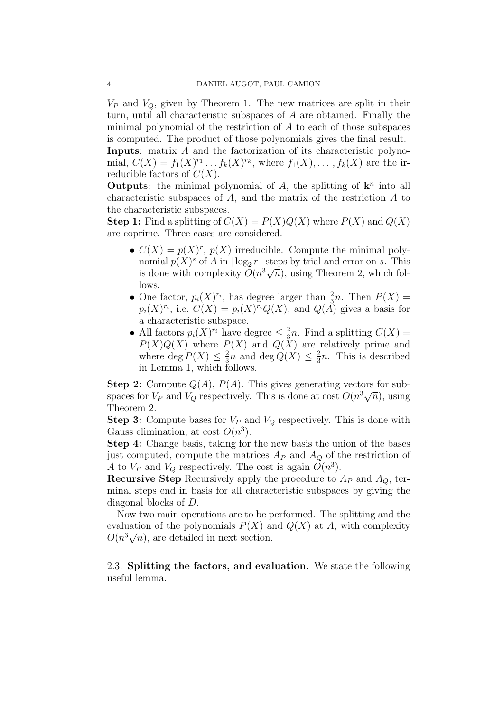$V_P$  and  $V_Q$ , given by Theorem 1. The new matrices are split in their turn, until all characteristic subspaces of A are obtained. Finally the minimal polynomial of the restriction of A to each of those subspaces is computed. The product of those polynomials gives the final result.

Inputs: matrix A and the factorization of its characteristic polynomial,  $C(X) = f_1(X)^{r_1} \dots f_k(X)^{r_k}$ , where  $f_1(X), \dots, f_k(X)$  are the irreducible factors of  $C(X)$ .

Outputs: the minimal polynomial of  $A$ , the splitting of  $\mathbf{k}^n$  into all characteristic subspaces of  $A$ , and the matrix of the restriction  $A$  to the characteristic subspaces.

**Step 1:** Find a splitting of  $C(X) = P(X)Q(X)$  where  $P(X)$  and  $Q(X)$ are coprime. Three cases are considered.

- $C(X) = p(X)^r$ ,  $p(X)$  irreducible. Compute the minimal polynomial  $p(X)^s$  of A in  $\lceil \log_2 r \rceil$  steps by trial and error on s. This nomial  $p(x)$  of A in  $\log_2 r$  steps by trial and error on s. This<br>is done with complexity  $O(n^3\sqrt{n})$ , using Theorem 2, which follows.
- One factor,  $p_i(X)^{r_i}$ , has degree larger than  $\frac{2}{3}n$ . Then  $P(X)$  =  $p_i(X)^{r_i}$ , i.e.  $C(X) = p_i(X)^{r_i}Q(X)$ , and  $Q(\check{A})$  gives a basis for a characteristic subspace.
- All factors  $p_i(X)^{r_i}$  have degree  $\leq \frac{2}{3}$  $\frac{2}{3}n$ . Find a splitting  $C(X) =$  $P(X)Q(X)$  where  $P(X)$  and  $Q(X)$  are relatively prime and where deg  $P(X) \leq \frac{2}{3}$  $\frac{2}{3}n$  and  $\deg Q(X) \leq \frac{2}{3}$  $\frac{2}{3}n$ . This is described in Lemma 1, which follows.

**Step 2:** Compute  $Q(A)$ ,  $P(A)$ . This gives generating vectors for sub-<br>spaces for  $V_2$  and  $V_3$  respectively. This is done at  $cost$   $O(n^3/\sqrt{n})$  using spaces for  $V_P$  and  $V_Q$  respectively. This is done at cost  $O(n^3\sqrt{n})$ , using Theorem 2.

**Step 3:** Compute bases for  $V_P$  and  $V_Q$  respectively. This is done with Gauss elimination, at cost  $O(n^3)$ .

Step 4: Change basis, taking for the new basis the union of the bases just computed, compute the matrices  $A_P$  and  $A_Q$  of the restriction of A to  $V_P$  and  $V_Q$  respectively. The cost is again  $O(n^3)$ .

**Recursive Step** Recursively apply the procedure to  $A_P$  and  $A_Q$ , terminal steps end in basis for all characteristic subspaces by giving the diagonal blocks of D.

Now two main operations are to be performed. The splitting and the evaluation of the polynomials  $P(X)$  and  $Q(X)$  at A, with complexity evaluation of the polynomials  $P(X)$  as<br> $O(n^3\sqrt{n})$ , are detailed in next section.

2.3. Splitting the factors, and evaluation. We state the following useful lemma.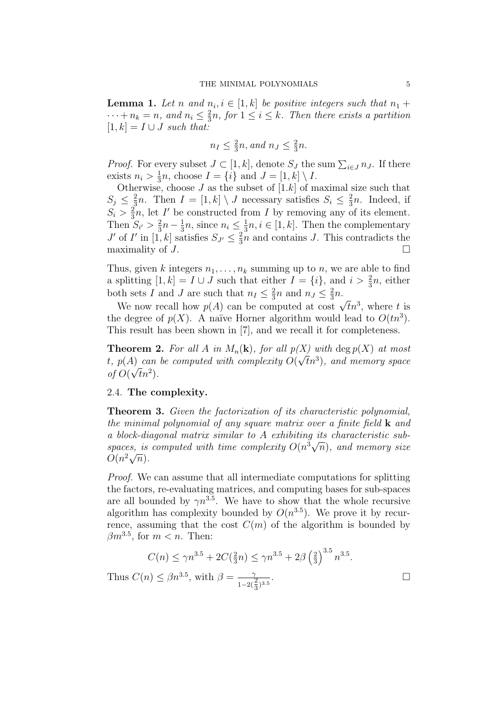**Lemma 1.** Let n and  $n_i, i \in [1, k]$  be positive integers such that  $n_1 +$  $\cdots + n_k = n$ , and  $n_i \leq \frac{2}{3}$  $\frac{2}{3}n$ , for  $1 \leq i \leq k$ . Then there exists a partition  $[1, k] = I \cup J$  such that:

$$
n_I \le \frac{2}{3}n, \text{ and } n_J \le \frac{2}{3}n.
$$

*Proof.* For every subset  $J \subset [1, k]$ , denote  $S_J$  the sum  $\sum_{i \in J} n_J$ . If there exists  $n_i > \frac{1}{3}$  $\frac{1}{3}n$ , choose  $I = \{i\}$  and  $J = [1, k] \setminus I$ .

Otherwise, choose  $J$  as the subset of  $[1.k]$  of maximal size such that  $S_j \leq \frac{2}{3}$  $\frac{2}{3}n$ . Then  $I = [1, k] \setminus J$  necessary satisfies  $S_i \leq \frac{2}{3}$  $\frac{2}{3}n$ . Indeed, if  $S_i > \frac{2}{3}$  $\frac{2}{3}n$ , let I' be constructed from I by removing any of its element. Then  $S_{i'} > \frac{2}{3}$  $rac{2}{3}n-\frac{1}{3}$  $\frac{1}{3}n$ , since  $n_i \leq \frac{1}{3}$  $\frac{1}{3}n, i \in [1, k]$ . Then the complementary J' of I' in [1, k] satisfies  $S_{J'} \leq \frac{2}{3}$  $\frac{2}{3}n$  and contains J. This contradicts the maximality of  $J$ .

Thus, given k integers  $n_1, \ldots, n_k$  summing up to n, we are able to find a splitting  $[1, k] = I \cup J$  such that either  $I = \{i\}$ , and  $i > \frac{2}{3}n$ , either both sets I and J are such that  $n_I \leq \frac{2}{3}$  $\frac{2}{3}n$  and  $n_J \leq \frac{2}{3}$  $\frac{2}{3}n$ .

We now recall how  $p(A)$  can be computed at cost  $\sqrt{t}n^3$ , where t is the degree of  $p(X)$ . A naïve Horner algorithm would lead to  $O(tn^3)$ . This result has been shown in [7], and we recall it for completeness.

**Theorem 2.** For all A in  $M_n(\mathbf{k})$ , for all  $p(X)$  with deg  $p(X)$  at most t,  $p(A)$  can be computed with complexity  $O(\sqrt{t}n^3)$ , and memory space of  $O(\sqrt{t}n^2)$ .

## 2.4. The complexity.

Theorem 3. Given the factorization of its characteristic polynomial, the minimal polynomial of any square matrix over a finite field  $\bf{k}$  and a block-diagonal matrix similar to A exhibiting its characteristic suba biock-anagonal matrix simular to A exhibiting its characteristic subspaces, is computed with time complexity  $O(n^3\sqrt{n})$ , and memory size spaces, is<br> $O(n^2\sqrt{n}).$ 

Proof. We can assume that all intermediate computations for splitting the factors, re-evaluating matrices, and computing bases for sub-spaces are all bounded by  $\gamma n^{3.5}$ . We have to show that the whole recursive algorithm has complexity bounded by  $O(n^{3.5})$ . We prove it by recurrence, assuming that the cost  $C(m)$  of the algorithm is bounded by  $\beta m^{3.5}$ , for  $m < n$ . Then:

$$
C(n) \le \gamma n^{3.5} + 2C(\frac{2}{3}n) \le \gamma n^{3.5} + 2\beta \left(\frac{2}{3}\right)^{3.5} n^{3.5}.
$$
  
Thus  $C(n) \le \beta n^{3.5}$ , with  $\beta = \frac{\gamma}{1 - 2(\frac{2}{3})^{3.5}}$ .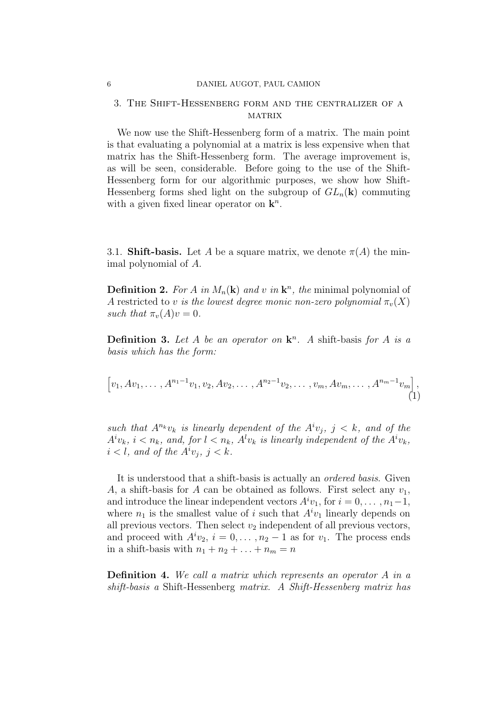#### 6 DANIEL AUGOT, PAUL CAMION

## 3. The Shift-Hessenberg form and the centralizer of a **MATRIX**

We now use the Shift-Hessenberg form of a matrix. The main point is that evaluating a polynomial at a matrix is less expensive when that matrix has the Shift-Hessenberg form. The average improvement is, as will be seen, considerable. Before going to the use of the Shift-Hessenberg form for our algorithmic purposes, we show how Shift-Hessenberg forms shed light on the subgroup of  $GL_n(\mathbf{k})$  commuting with a given fixed linear operator on  $\mathbf{k}^n$ .

3.1. **Shift-basis.** Let A be a square matrix, we denote  $\pi(A)$  the minimal polynomial of A.

**Definition 2.** For A in  $M_n(\mathbf{k})$  and v in  $\mathbf{k}^n$ , the minimal polynomial of A restricted to v is the lowest degree monic non-zero polynomial  $\pi_{v}(X)$ such that  $\pi_v(A)v = 0$ .

**Definition 3.** Let A be an operator on  $\mathbf{k}^n$ . A shift-basis for A is a basis which has the form:

$$
\[v_1, Av_1, \ldots, A^{n_1-1}v_1, v_2, Av_2, \ldots, A^{n_2-1}v_2, \ldots, v_m, Av_m, \ldots, A^{n_m-1}v_m\],\tag{1}
$$

such that  $A^{n_k}v_k$  is linearly dependent of the  $A^iv_j$ ,  $j < k$ , and of the  $A^i v_k$ ,  $i < n_k$ , and, for  $l < n_k$ ,  $A^l v_k$  is linearly independent of the  $A^i v_k$ ,  $i < l$ , and of the  $A^i v_j$ ,  $j < k$ .

It is understood that a shift-basis is actually an ordered basis. Given A, a shift-basis for A can be obtained as follows. First select any  $v_1$ , and introduce the linear independent vectors  $A^i v_1$ , for  $i = 0, \ldots, n_1-1$ , where  $n_1$  is the smallest value of i such that  $A^i v_1$  linearly depends on all previous vectors. Then select  $v_2$  independent of all previous vectors, and proceed with  $A^i v_2$ ,  $i = 0, \ldots, n_2 - 1$  as for  $v_1$ . The process ends in a shift-basis with  $n_1 + n_2 + \ldots + n_m = n$ 

Definition 4. We call a matrix which represents an operator A in a shift-basis a Shift-Hessenberg matrix. A Shift-Hessenberg matrix has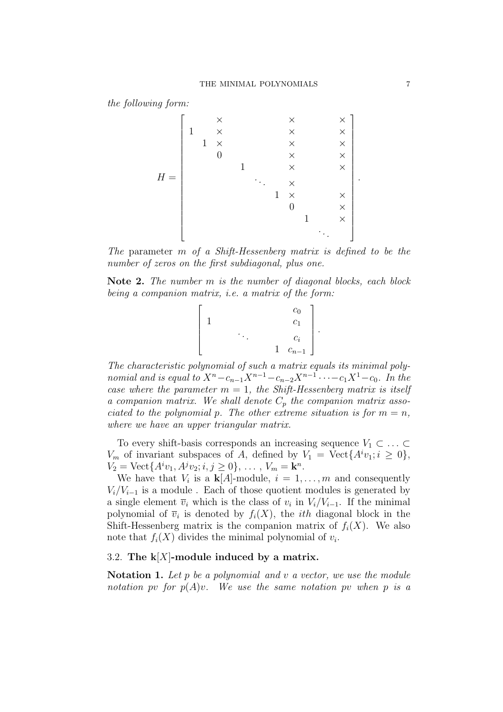the following form:



The parameter m of a Shift-Hessenberg matrix is defined to be the number of zeros on the first subdiagonal, plus one.

Note 2. The number m is the number of diagonal blocks, each block being a companion matrix, i.e. a matrix of the form:



The characteristic polynomial of such a matrix equals its minimal polynomial and is equal to  $X^n - c_{n-1}X^{n-1} - c_{n-2}X^{n-1} \cdots - c_1X^1 - c_0$ . In the case where the parameter  $m = 1$ , the Shift-Hessenberg matrix is itself a companion matrix. We shall denote  $C_p$  the companion matrix associated to the polynomial p. The other extreme situation is for  $m = n$ , where we have an upper triangular matrix.

To every shift-basis corresponds an increasing sequence  $V_1 \subset \ldots \subset$  $V_m$  of invariant subspaces of A, defined by  $V_1 = \text{Vect}\lbrace A^i v_1; i \geq 0 \rbrace$ ,  $V_2 = \text{Vect}\{A^i v_1, A^j v_2; i, j \ge 0\}, \dots, V_m = \mathbf{k}^n.$ 

We have that  $V_i$  is a  $\mathbf{k}[A]$ -module,  $i = 1, \ldots, m$  and consequently  $V_i/V_{i-1}$  is a module. Each of those quotient modules is generated by a single element  $\overline{v}_i$  which is the class of  $v_i$  in  $V_i/V_{i-1}$ . If the minimal polynomial of  $\overline{v}_i$  is denoted by  $f_i(X)$ , the *ith* diagonal block in the Shift-Hessenberg matrix is the companion matrix of  $f_i(X)$ . We also note that  $f_i(X)$  divides the minimal polynomial of  $v_i$ .

## 3.2. The  $k[X]$ -module induced by a matrix.

Notation 1. Let  $p$  be a polynomial and  $v$  a vector, we use the module notation pv for  $p(A)v$ . We use the same notation pv when p is a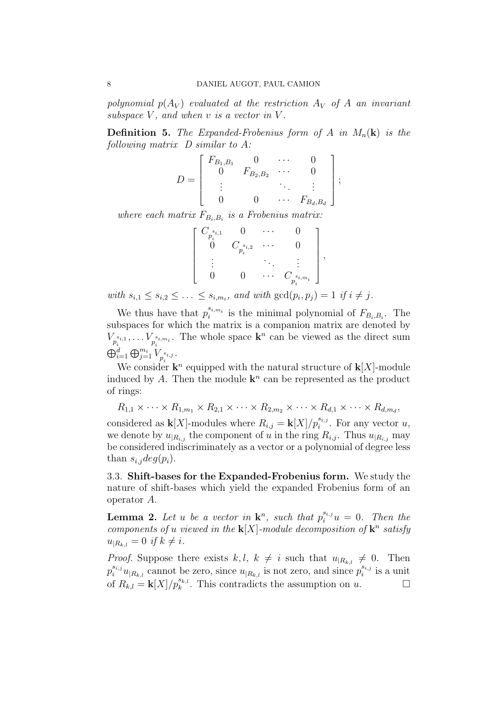polynomial  $p(A_V)$  evaluated at the restriction  $A_V$  of A an invariant subspace  $V$ , and when  $v$  is a vector in  $V$ .

**Definition 5.** The Expanded-Frobenius form of A in  $M_n(\mathbf{k})$  is the following matrix D similar to A:

$$
D = \begin{bmatrix} F_{B_1,B_1} & 0 & \cdots & 0 \\ 0 & F_{B_2,B_2} & \cdots & 0 \\ \vdots & & \ddots & \vdots \\ 0 & 0 & \cdots & F_{B_d,B_d} \end{bmatrix},
$$

where each matrix  $F_{B_i,B_i}$  is a Frobenius matrix:

$$
\left[ \begin{array}{cccc} C_{p_i^{s_{i,1}}} & 0 & \cdots & 0 \\ 0 & C_{p_i^{s_{i,2}}} & \cdots & 0 \\ \vdots & & \ddots & \vdots \\ 0 & 0 & \cdots & C_{p_i^{s_{i,m_i}}} \end{array} \right],
$$

with  $s_{i,1} \leq s_{i,2} \leq \ldots \leq s_{i,m_i}$ , and with  $\gcd(p_i, p_j) = 1$  if  $i \neq j$ .

We thus have that  $p_i^{s_{i,m_i}}$  is the minimal polynomial of  $F_{B_i,B_i}$ . The subspaces for which the matrix is a companion matrix are denoted by  $V_{p_i^{s_{i,1}}}, \ldots V_{p_i^{s_{i,m_i}}}$ . The whole space  $\mathbf{k}^n$  can be viewed as the direct sum  $\stackrel{p_i}{\bigoplus} \stackrel{p_i}{\oplus} \oplus \stackrel{m_i}{\_j=1} V_{p_i^{s_{i,j}}}.$ 

We consider  $\mathbf{k}^n$  equipped with the natural structure of  $\mathbf{k}[X]$ -module induced by A. Then the module  $\mathbf{k}^n$  can be represented as the product of rings:

 $R_{1,1} \times \cdots \times R_{1,m_1} \times R_{2,1} \times \cdots \times R_{2,m_2} \times \cdots \times R_{d,1} \times \cdots \times R_{d,m_d}$ 

considered as  $\mathbf{k}[X]$ -modules where  $R_{i,j} = \mathbf{k}[X]/p_i^{s_{i,j}}$ . For any vector u, we denote by  $u_{R_{i,j}}$  the component of u in the ring  $R_{i,j}$ . Thus  $u_{R_{i,j}}$  may be considered indiscriminately as a vector or a polynomial of degree less than  $s_{i,j}deg(p_i)$ .

3.3. Shift-bases for the Expanded-Frobenius form. We study the nature of shift-bases which yield the expanded Frobenius form of an operator A.

**Lemma 2.** Let u be a vector in  $\mathbf{k}^n$ , such that  $p_i^{s_{i,j}}u = 0$ . Then the components of u viewed in the  $\mathbf{k}[X]$ -module decomposition of  $\mathbf{k}^n$  satisfy  $u_{R_{k,l}} = 0$  if  $k \neq i$ .

*Proof.* Suppose there exists  $k, l, k \neq i$  such that  $u_{R_{k,l}} \neq 0$ . Then  $p_i^{s_{i,j}}u_{|R_{k,l}}$  cannot be zero, since  $u_{|R_{k,l}}$  is not zero, and since  $p_i^{s_{i,j}}$  $i^{s_{i,j}}$  is a unit of  $R_{k,l} = \mathbf{k}[X]/p_k^{s_{k,l}}$ . This contradicts the assumption on u.  $\Box$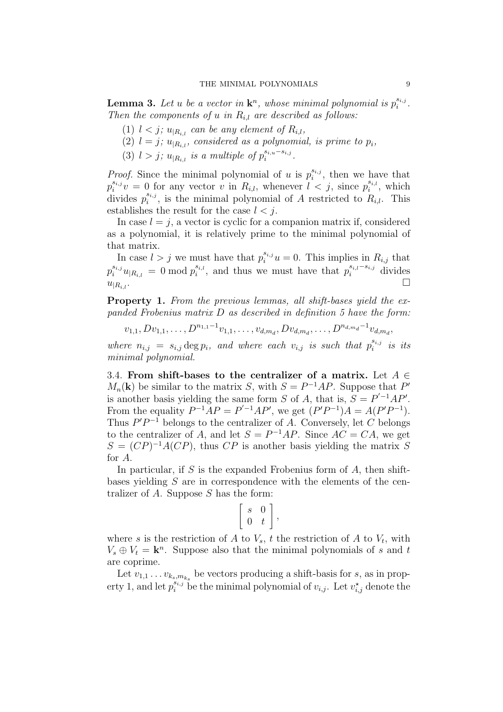**Lemma 3.** Let u be a vector in  $\mathbf{k}^n$ , whose minimal polynomial is  $p_i^{s_{i,j}}$  $\frac{s_{i,j}}{i}$  . Then the components of u in  $R_{i,l}$  are described as follows:

- (1)  $l < j$ ;  $u_{R_{i,l}}$  can be any element of  $R_{i,l}$ ,
- (2)  $l = j$ ;  $u_{R_{i,l}}$ , considered as a polynomial, is prime to  $p_i$ ,
- (3)  $l > j$ ;  $u_{|R_{i,l}}$  is a multiple of  $p_i^{s_{i,u}-s_{i,j}}$  $\frac{s_{i,u}-s_{i,j}}{i}$  .

*Proof.* Since the minimal polynomial of u is  $p_i^{s_{i,j}}$  $i^{s_{i,j}}$ , then we have that  $p_i^{s_{i,j}}v = 0$  for any vector v in  $R_{i,l}$ , whenever  $l < j$ , since  $p_i^{s_{i,l}}$  $i^{s_{i,l}}$ , which divides  $p_i^{s_{i,j}}$  $s_{i,j}$ , is the minimal polynomial of A restricted to  $R_{i,l}$ . This establishes the result for the case  $l < j$ .

In case  $l = j$ , a vector is cyclic for a companion matrix if, considered as a polynomial, it is relatively prime to the minimal polynomial of that matrix.

In case  $l > j$  we must have that  $p_i^{s_{i,j}} u = 0$ . This implies in  $R_{i,j}$  that  $p_i^{s_{i,j}} u_{|R_{i,l}} \, = \, 0 \bmod p_i^{s_{i,l}}$  $s_{i,l}$ , and thus we must have that  $p_i^{s_{i,l}-s_{i,j}}$  divides  $u_{|R_{i,l}}.$ 

Property 1. From the previous lemmas, all shift-bases yield the expanded Frobenius matrix D as described in definition 5 have the form:

$$
v_{1,1}, D v_{1,1}, \ldots, D^{n_{1,1}-1} v_{1,1}, \ldots, v_{d,m_d}, D v_{d,m_d}, \ldots, D^{n_{d,m_d}-1} v_{d,m_d},
$$

where  $n_{i,j} = s_{i,j} \deg p_i$ , and where each  $v_{i,j}$  is such that  $p_i^{s_{i,j}}$  $i^{s_{i,j}}$  is its minimal polynomial.

3.4. From shift-bases to the centralizer of a matrix. Let  $A \in$  $M_n(\mathbf{k})$  be similar to the matrix S, with  $S = P^{-1}AP$ . Suppose that P' is another basis yielding the same form S of A, that is,  $S = P^{-1}AP'$ . From the equality  $P^{-1}AP = P'^{-1}AP'$ , we get  $(P'P^{-1})A = A(P'P^{-1})$ . Thus  $P'P^{-1}$  belongs to the centralizer of A. Conversely, let C belongs to the centralizer of A, and let  $S = P^{-1}AP$ . Since  $AC = CA$ , we get  $S = (CP)^{-1}A(CP)$ , thus CP is another basis yielding the matrix S for A.

In particular, if S is the expanded Frobenius form of  $A$ , then shiftbases yielding S are in correspondence with the elements of the centralizer of  $A$ . Suppose  $S$  has the form: .<br>F

$$
\left[\begin{array}{cc} s & 0 \\ 0 & t \end{array}\right],
$$

where s is the restriction of A to  $V_s$ , t the restriction of A to  $V_t$ , with  $V_s \oplus V_t = \mathbf{k}^n$ . Suppose also that the minimal polynomials of s and t are coprime.

Let  $v_{1,1} \ldots v_{k_s,m_{k_s}}$  be vectors producing a shift-basis for s, as in property 1, and let  $p_i^{s_{i,j}}$  be the minimal polynomial of  $v_{i,j}$ . Let  $v_{i,j}^{\star}$  denote the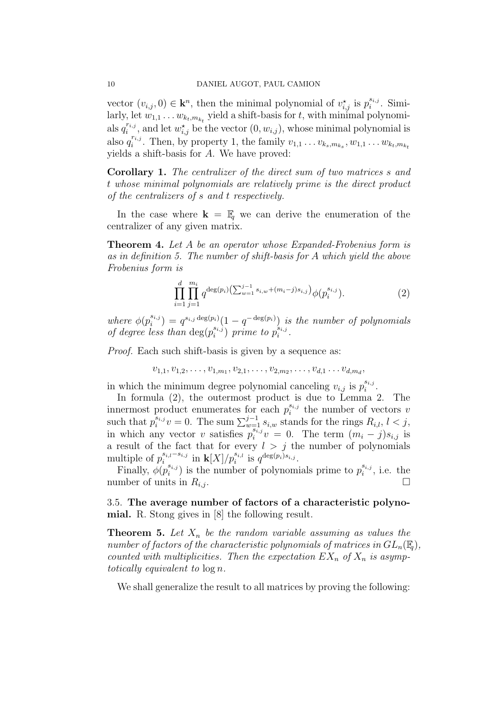vector  $(v_{i,j}, 0) \in \mathbf{k}^n$ , then the minimal polynomial of  $v_{i,j}^{\star}$  is  $p_i^{s_{i,j}}$  $_i^{s_{i,j}}$ . Similarly, let  $w_{1,1} \dots w_{k_t,m_{k_t}}$  yield a shift-basis for t, with minimal polynomials  $q_i^{r_{i,j}}$  $\sum_{i}^{r_{i,j}}$ , and let  $w_{i,j}^{\star}$  be the vector  $(0, w_{i,j})$ , whose minimal polynomial is also  $q_i^{r_{i,j}}$  $\sum_{i=1}^{r_{i,j}}$ . Then, by property 1, the family  $v_{1,1} \ldots v_{k_s,m_{k_s}}, w_{1,1} \ldots w_{k_t,m_{k_t}}$ yields a shift-basis for A. We have proved:

Corollary 1. The centralizer of the direct sum of two matrices s and t whose minimal polynomials are relatively prime is the direct product of the centralizers of s and t respectively.

In the case where  $\mathbf{k} = \mathbb{F}_q$  we can derive the enumeration of the centralizer of any given matrix.

Theorem 4. Let A be an operator whose Expanded-Frobenius form is as in definition 5. The number of shift-basis for A which yield the above Frobenius form is

$$
\prod_{i=1}^{d} \prod_{j=1}^{m_i} q^{\deg(p_i)} \left( \sum_{w=1}^{j-1} s_{i,w} + (m_i - j)s_{i,j} \right) \phi(p_i^{s_{i,j}}). \tag{2}
$$

where  $\phi(p_i^{s_{i,j}})$  $i_j^{s_{i,j}}$  =  $q^{s_{i,j} \deg(p_i)}(1-q^{-\deg(p_i)})$  is the number of polynomials of degree less than  $\deg(p_i^{s_{i,j}})$  $\binom{s_{i,j}}{i}$  prime to  $p_i^{\hat{s}_{i,j}}$  $\frac{s_{i,j}}{i}$  .

Proof. Each such shift-basis is given by a sequence as:

$$
v_{1,1}, v_{1,2}, \ldots, v_{1,m_1}, v_{2,1}, \ldots, v_{2,m_2}, \ldots, v_{d,1} \ldots v_{d,m_d},
$$

in which the minimum degree polynomial canceling  $v_{i,j}$  is  $p_i^{s_{i,j}}$  $\frac{s_{i,j}}{i}$  .

In formula (2), the outermost product is due to Lemma 2. The innermost product enumerates for each  $p_i^{s_{i,j}}$  $i_i^{s_{i,j}}$  the number of vectors v such that  $p_i^{s_{i,j}}v = 0$ . The sum  $\sum_{w=1}^{j-1} s_{i,w}$  stands for the rings  $R_{i,l}$ ,  $l < j$ , in which any vector v satisfies  $p_i^{\overline{s}_{i,j}}v = 0$ . The term  $(m_i - j)s_{i,j}$  is a result of the fact that for every  $l > j$  the number of polynomials multiple of  $p_i^{s_{i,l}-s_{i,j}}$  $i_i^{s_{i,l}-s_{i,j}}$  in  $\mathbf{k}[X]/p_i^{s_{i,l}}$  is  $q^{\deg(p_i)s_{i,j}}$ .

Finally,  $\phi(p_i^{s_{i,j}})$  $\sum_{i=1}^{s_{i,j}}$  is the number of polynomials prime to  $p_i^{s_{i,j}}$  $i^{s_{i,j}}$ , i.e. the number of units in  $R_{i,j}$ .

3.5. The average number of factors of a characteristic polynomial. R. Stong gives in [8] the following result.

**Theorem 5.** Let  $X_n$  be the random variable assuming as values the number of factors of the characteristic polynomials of matrices in  $GL_n(\mathbb{F}_q)$ , counted with multiplicities. Then the expectation  $EX_n$  of  $X_n$  is asymptotically equivalent to log n.

We shall generalize the result to all matrices by proving the following: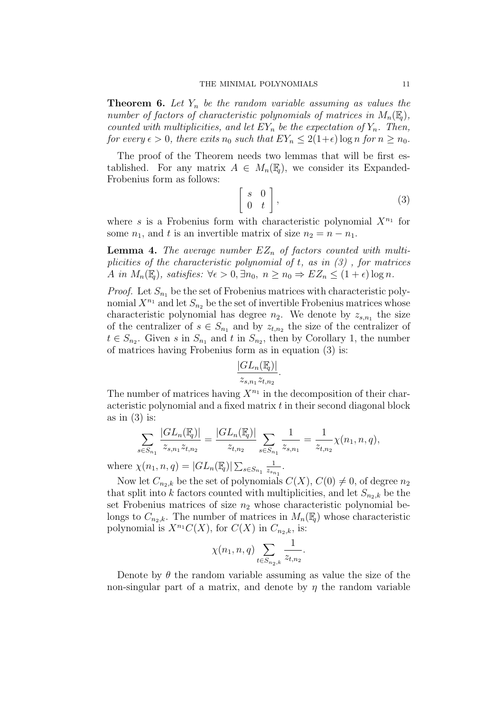**Theorem 6.** Let  $Y_n$  be the random variable assuming as values the number of factors of characteristic polynomials of matrices in  $M_n(\mathbb{F}_q)$ , counted with multiplicities, and let  $EY_n$  be the expectation of  $Y_n$ . Then, for every  $\epsilon > 0$ , there exits  $n_0$  such that  $EY_n \leq 2(1+\epsilon) \log n$  for  $n \geq n_0$ .

The proof of the Theorem needs two lemmas that will be first established. For any matrix  $A \in M_n(\mathbb{F}_q)$ , we consider its Expanded-Frobenius form as follows: .<br>F 1

$$
\left[\begin{array}{cc} s & 0 \\ 0 & t \end{array}\right],\tag{3}
$$

where s is a Frobenius form with characteristic polynomial  $X^{n_1}$  for some  $n_1$ , and t is an invertible matrix of size  $n_2 = n - n_1$ .

**Lemma 4.** The average number  $EZ_n$  of factors counted with multiplicities of the characteristic polynomial of t, as in  $(3)$ , for matrices A in  $M_n(\mathbb{F}_q)$ , satisfies:  $\forall \epsilon > 0$ ,  $\exists n_0, n \geq n_0 \Rightarrow EZ_n \leq (1+\epsilon) \log n$ .

*Proof.* Let  $S_{n_1}$  be the set of Frobenius matrices with characteristic polynomial  $X^{n_1}$  and let  $S_{n_2}$  be the set of invertible Frobenius matrices whose characteristic polynomial has degree  $n_2$ . We denote by  $z_{s,n_1}$  the size of the centralizer of  $s \in S_{n_1}$  and by  $z_{t,n_2}$  the size of the centralizer of  $t \in S_{n_2}$ . Given s in  $S_{n_1}$  and t in  $S_{n_2}$ , then by Corollary 1, the number of matrices having Frobenius form as in equation (3) is:

$$
\frac{|GL_n(\mathbb{F}_q)|}{z_{s,n_1}z_{t,n_2}}.
$$

The number of matrices having  $X^{n_1}$  in the decomposition of their characteristic polynomial and a fixed matrix  $t$  in their second diagonal block as in  $(3)$  is:

$$
\sum_{s \in S_{n_1}} \frac{|GL_n(\mathbb{F}_q)|}{z_{s,n_1} z_{t,n_2}} = \frac{|GL_n(\mathbb{F}_q)|}{z_{t,n_2}} \sum_{s \in S_{n_1}} \frac{1}{z_{s,n_1}} = \frac{1}{z_{t,n_2}} \chi(n_1, n, q),
$$

where  $\chi(n_1, n, q) = |GL_n(\mathbb{F}_q)| \sum$  $s \in S_{n_1}$   $\frac{1}{z_{s_n}}$  $\frac{1}{z_{s_{n_1}}}$ .

Now let  $C_{n_2,k}$  be the set of polynomials  $C(X)$ ,  $C(0) \neq 0$ , of degree  $n_2$ that split into k factors counted with multiplicities, and let  $S_{n_2,k}$  be the set Frobenius matrices of size  $n_2$  whose characteristic polynomial belongs to  $C_{n_2,k}$ . The number of matrices in  $M_n(\mathbb{F}_q)$  whose characteristic polynomial is  $X^{n_1}C(X)$ , for  $C(X)$  in  $C_{n_2,k}$ , is:

$$
\chi(n_1, n, q) \sum_{t \in S_{n_2, k}} \frac{1}{z_{t, n_2}}.
$$

Denote by  $\theta$  the random variable assuming as value the size of the non-singular part of a matrix, and denote by  $\eta$  the random variable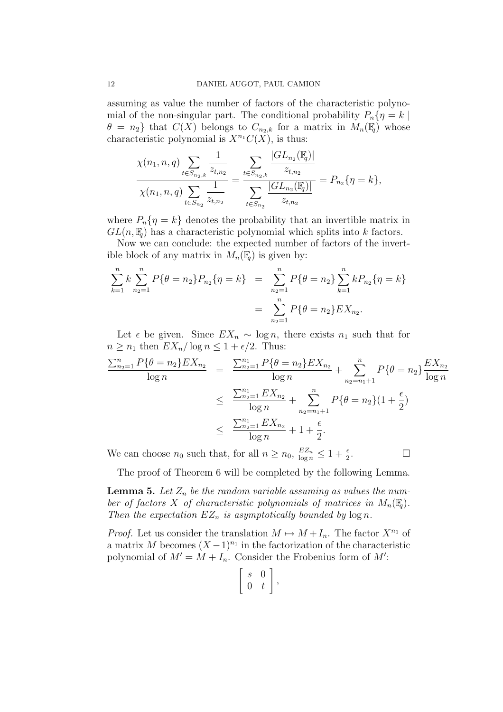assuming as value the number of factors of the characteristic polynomial of the non-singular part. The conditional probability  $P_n\{\eta = k \mid$  $\theta = n_2$ } that  $C(X)$  belongs to  $C_{n_2,k}$  for a matrix in  $M_n(\mathbb{F}_q)$  whose characteristic polynomial is  $X^{n_1}C(X)$ , is thus:

$$
\frac{\chi(n_1, n, q) \sum_{t \in S_{n_2,k}} \frac{1}{z_{t,n_2}}}{\chi(n_1, n, q) \sum_{t \in S_{n_2}} \frac{1}{z_{t,n_2}}} = \frac{\sum_{t \in S_{n_2,k}} \frac{|GL_{n_2}(\mathbb{F}_q)|}{z_{t,n_2}}}{\sum_{t \in S_{n_2}} \frac{|GL_{n_2}(\mathbb{F}_q)|}{z_{t,n_2}}} = P_{n_2}\{\eta = k\},\,
$$

where  $P_n\{\eta = k\}$  denotes the probability that an invertible matrix in  $GL(n,\mathbb{F}_q)$  has a characteristic polynomial which splits into k factors.

Now we can conclude: the expected number of factors of the invertible block of any matrix in  $M_n(\mathbb{F}_q)$  is given by:

$$
\sum_{k=1}^{n} k \sum_{n_2=1}^{n} P\{\theta = n_2\} P_{n_2} \{\eta = k\} = \sum_{n_2=1}^{n} P\{\theta = n_2\} \sum_{k=1}^{n} k P_{n_2} \{\eta = k\}
$$

$$
= \sum_{n_2=1}^{n} P\{\theta = n_2\} E X_{n_2}.
$$

Let  $\epsilon$  be given. Since  $EX_n \sim \log n$ , there exists  $n_1$  such that for  $n \geq n_1$  then  $EX_n/\log n \leq 1 + \epsilon/2$ . Thus:

$$
\frac{\sum_{n_2=1}^{n} P\{\theta = n_2\} EX_{n_2}}{\log n} = \frac{\sum_{n_2=1}^{n_1} P\{\theta = n_2\} EX_{n_2}}{\log n} + \sum_{n_2=n_1+1}^{n} P\{\theta = n_2\} \frac{EX_{n_2}}{\log n}
$$
  

$$
\leq \frac{\sum_{n_2=1}^{n_1} EX_{n_2}}{\log n} + \sum_{n_2=n_1+1}^{n} P\{\theta = n_2\} (1 + \frac{\epsilon}{2})
$$
  

$$
\leq \frac{\sum_{n_2=1}^{n_1} EX_{n_2}}{\log n} + 1 + \frac{\epsilon}{2}.
$$

 $\Box$ 

We can choose  $n_0$  such that, for all  $n \ge n_0$ ,  $\frac{EZ_n}{\log n} \le 1 + \frac{\epsilon}{2}$ 

The proof of Theorem 6 will be completed by the following Lemma.

**Lemma 5.** Let  $Z_n$  be the random variable assuming as values the number of factors X of characteristic polynomials of matrices in  $M_n(\mathbb{F}_q)$ . Then the expectation  $EZ_n$  is asymptotically bounded by  $log n$ .

*Proof.* Let us consider the translation  $M \mapsto M + I_n$ . The factor  $X^{n_1}$  of a matrix M becomes  $(X-1)^{n_1}$  in the factorization of the characteristic polynomial of  $M' = M + I_n$ . Consider the Frobenius form of M': .<br>F 1

$$
\left[\begin{array}{cc} s & 0 \\ 0 & t \end{array}\right],
$$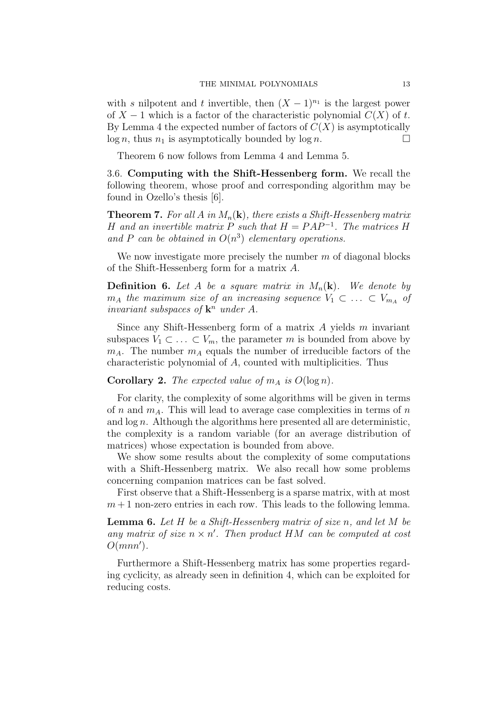with s nilpotent and t invertible, then  $(X - 1)^{n_1}$  is the largest power of  $X - 1$  which is a factor of the characteristic polynomial  $C(X)$  of t. By Lemma 4 the expected number of factors of  $C(X)$  is asymptotically  $log n$ , thus  $n_1$  is asymptotically bounded by  $log n$ .

Theorem 6 now follows from Lemma 4 and Lemma 5.

3.6. Computing with the Shift-Hessenberg form. We recall the following theorem, whose proof and corresponding algorithm may be found in Ozello's thesis [6].

**Theorem 7.** For all A in  $M_n(\mathbf{k})$ , there exists a Shift-Hessenberg matrix H and an invertible matrix P such that  $H = PAP^{-1}$ . The matrices H and P can be obtained in  $O(n^3)$  elementary operations.

We now investigate more precisely the number  $m$  of diagonal blocks of the Shift-Hessenberg form for a matrix A.

**Definition 6.** Let A be a square matrix in  $M_n(\mathbf{k})$ . We denote by  $m_A$  the maximum size of an increasing sequence  $V_1 \subset \ldots \subset V_{m_A}$  of invariant subspaces of  $\mathbf{k}^n$  under A.

Since any Shift-Hessenberg form of a matrix  $A$  yields  $m$  invariant subspaces  $V_1 \subset \ldots \subset V_m$ , the parameter m is bounded from above by  $m_A$ . The number  $m_A$  equals the number of irreducible factors of the characteristic polynomial of A, counted with multiplicities. Thus

Corollary 2. The expected value of  $m_A$  is  $O(\log n)$ .

For clarity, the complexity of some algorithms will be given in terms of n and  $m_A$ . This will lead to average case complexities in terms of n and  $\log n$ . Although the algorithms here presented all are deterministic, the complexity is a random variable (for an average distribution of matrices) whose expectation is bounded from above.

We show some results about the complexity of some computations with a Shift-Hessenberg matrix. We also recall how some problems concerning companion matrices can be fast solved.

First observe that a Shift-Hessenberg is a sparse matrix, with at most  $m+1$  non-zero entries in each row. This leads to the following lemma.

**Lemma 6.** Let  $H$  be a Shift-Hessenberg matrix of size n, and let  $M$  be any matrix of size  $n \times n'$ . Then product HM can be computed at cost  $O(mnn')$ .

Furthermore a Shift-Hessenberg matrix has some properties regarding cyclicity, as already seen in definition 4, which can be exploited for reducing costs.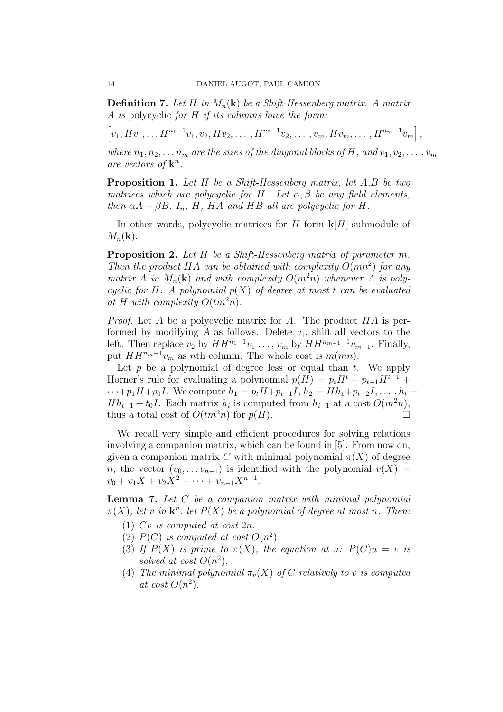**Definition 7.** Let H in  $M_n(\mathbf{k})$  be a Shift-Hessenberg matrix. A matrix A is polycyclic for H if its columns have the form:

h  $v_1, Hv_1, \ldots H^{n_1-1}v_1, v_2, Hv_2, \ldots, H^{n_2-1}v_2, \ldots, v_m, Hv_m, \ldots, H^{n_m-1}v_m$ i

where  $n_1, n_2, \ldots, n_m$  are the sizes of the diagonal blocks of H, and  $v_1, v_2, \ldots, v_m$ are vectors of  $\mathbf{k}^n$ .

,

**Proposition 1.** Let H be a Shift-Hessenberg matrix, let A,B be two matrices which are polycyclic for H. Let  $\alpha, \beta$  be any field elements, then  $\alpha A + \beta B$ ,  $I_n$ ,  $H$ ,  $HA$  and  $HB$  all are polycyclic for  $H$ .

In other words, polycyclic matrices for H form  $\mathbf{k}[H]$ -submodule of  $M_n(\mathbf{k})$ .

Proposition 2. Let H be a Shift-Hessenberg matrix of parameter m. Then the product HA can be obtained with complexity  $O(mn^2)$  for any matrix A in  $M_n(\mathbf{k})$  and with complexity  $O(m^2n)$  whenever A is polycyclic for H. A polynomial  $p(X)$  of degree at most t can be evaluated at H with complexity  $O(tm^2n)$ .

Proof. Let A be a polycyclic matrix for A. The product HA is performed by modifying  $A$  as follows. Delete  $v_1$ , shift all vectors to the left. Then replace  $v_2$  by  $HH^{n_1-1}v_1 \ldots$ ,  $v_m$  by  $HH^{n_{m-1}-1}v_{m-1}$ . Finally, put  $HH^{n_m-1}v_m$  as nth column. The whole cost is  $m(mn)$ .

Let  $p$  be a polynomial of degree less or equal than  $t$ . We apply Horner's rule for evaluating a polynomial  $p(H) = p_t H^t + p_{t-1} H^{t-1}$  +  $\cdots+p_1H+p_0I$ . We compute  $h_1 = p_tH+p_{t-1}I$ ,  $h_2 = Hh_1+p_{t-2}I$ , ...,  $h_t =$  $Hh_{t-1} + t_0I$ . Each matrix  $h_i$  is computed from  $h_{i-1}$  at a cost  $O(m^2n)$ , thus a total cost of  $O(tm^2n)$  for  $p(H)$ .

We recall very simple and efficient procedures for solving relations involving a companion matrix, which can be found in [5]. From now on, given a companion matrix C with minimal polynomial  $\pi(X)$  of degree n, the vector  $(v_0, \ldots v_{n-1})$  is identified with the polynomial  $v(X) =$  $v_0 + v_1 X + v_2 X^2 + \cdots + v_{n-1} X^{n-1}.$ 

**Lemma 7.** Let  $C$  be a companion matrix with minimal polynomial  $\pi(X)$ , let v in  $\mathbf{k}^n$ , let  $P(X)$  be a polynomial of degree at most n. Then:

- (1) Cv is computed at cost 2n.
- (2)  $P(C)$  is computed at cost  $O(n^2)$ .
- (3) If  $P(X)$  is prime to  $\pi(X)$ , the equation at u:  $P(C)u = v$  is solved at cost  $O(n^2)$ .
- (4) The minimal polynomial  $\pi_v(X)$  of C relatively to v is computed at cost  $O(n^2)$ .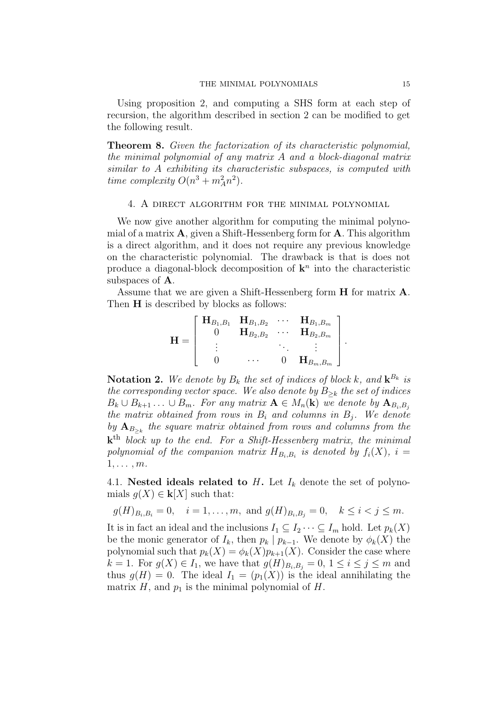Using proposition 2, and computing a SHS form at each step of recursion, the algorithm described in section 2 can be modified to get the following result.

Theorem 8. Given the factorization of its characteristic polynomial, the minimal polynomial of any matrix A and a block-diagonal matrix similar to A exhibiting its characteristic subspaces, is computed with time complexity  $O(n^3 + m_A^2 n^2)$ .

## 4. A direct algorithm for the minimal polynomial

We now give another algorithm for computing the minimal polynomial of a matrix  $\bf{A}$ , given a Shift-Hessenberg form for  $\bf{A}$ . This algorithm is a direct algorithm, and it does not require any previous knowledge on the characteristic polynomial. The drawback is that is does not produce a diagonal-block decomposition of  $\mathbf{k}^n$  into the characteristic subspaces of A.

Assume that we are given a Shift-Hessenberg form H for matrix A. Then **H** is described by blocks as follows:

$$
\mathbf{H} = \left[ \begin{array}{cccc} \mathbf{H}_{B_1,B_1} & \mathbf{H}_{B_1,B_2} & \cdots & \mathbf{H}_{B_1,B_m} \\ 0 & \mathbf{H}_{B_2,B_2} & \cdots & \mathbf{H}_{B_2,B_m} \\ \vdots & & \ddots & \vdots \\ 0 & \cdots & 0 & \mathbf{H}_{B_m,B_m} \end{array} \right]
$$

.

**Notation 2.** We denote by  $B_k$  the set of indices of block k, and  $\mathbf{k}^{B_k}$  is the corresponding vector space. We also denote by  $B_{\geq k}$  the set of indices  $B_k \cup B_{k+1} \ldots \cup B_m$ . For any matrix  $\mathbf{A} \in M_n(\mathbf{k})$  we denote by  $\mathbf{A}_{B_i,B_i}$ the matrix obtained from rows in  $B_i$  and columns in  $B_j$ . We denote by  $\mathbf{A}_{B_{\geq k}}$  the square matrix obtained from rows and columns from the  ${\bf k}^{\rm th}$  block up to the end. For a Shift-Hessenberg matrix, the minimal polynomial of the companion matrix  $H_{B_i,B_i}$  is denoted by  $f_i(X)$ ,  $i =$  $1, \ldots, m$ .

4.1. Nested ideals related to  $H$ . Let  $I_k$  denote the set of polynomials  $g(X) \in \mathbf{k}[X]$  such that:

$$
g(H)_{B_i,B_i} = 0
$$
,  $i = 1,...,m$ , and  $g(H)_{B_i,B_j} = 0$ ,  $k \le i < j \le m$ .

It is in fact an ideal and the inclusions  $I_1 \subseteq I_2 \cdots \subseteq I_m$  hold. Let  $p_k(X)$ be the monic generator of  $I_k$ , then  $p_k | p_{k-1}$ . We denote by  $\phi_k(X)$  the polynomial such that  $p_k(X) = \phi_k(X)p_{k+1}(X)$ . Consider the case where  $k = 1$ . For  $g(X) \in I_1$ , we have that  $g(H)_{B_i, B_j} = 0, 1 \leq i \leq j \leq m$  and thus  $g(H) = 0$ . The ideal  $I_1 = (p_1(X))$  is the ideal annihilating the matrix  $H$ , and  $p_1$  is the minimal polynomial of  $H$ .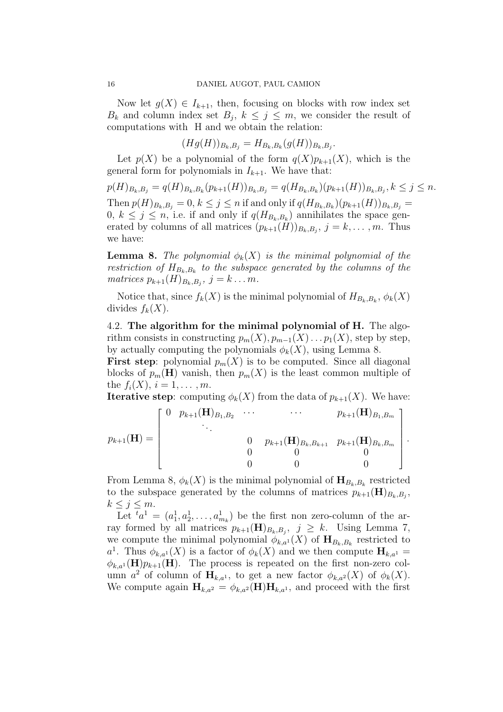Now let  $g(X) \in I_{k+1}$ , then, focusing on blocks with row index set  $B_k$  and column index set  $B_j$ ,  $k \leq j \leq m$ , we consider the result of computations with H and we obtain the relation:

 $(Hg(H))_{B_k,B_j} = H_{B_k,B_k}(g(H))_{B_k,B_j}.$ 

Let  $p(X)$  be a polynomial of the form  $q(X)p_{k+1}(X)$ , which is the general form for polynomials in  $I_{k+1}$ . We have that:

 $p(H)_{B_k,B_j} = q(H)_{B_k,B_k}(p_{k+1}(H))_{B_k,B_j} = q(H_{B_k,B_k})(p_{k+1}(H))_{B_k,B_j}, k \leq j \leq n.$ Then  $p(H)_{B_k, B_j} = 0, k \le j \le n$  if and only if  $q(H_{B_k, B_k})(p_{k+1}(H))_{B_k, B_j} =$  $0, k \leq j \leq n$ , i.e. if and only if  $q(H_{B_k,B_k})$  annihilates the space generated by columns of all matrices  $(p_{k+1}(H))_{B_k,B_j}$ ,  $j = k, \ldots, m$ . Thus we have:

**Lemma 8.** The polynomial  $\phi_k(X)$  is the minimal polynomial of the restriction of  $H_{B_k,B_k}$  to the subspace generated by the columns of the matrices  $p_{k+1}(H)_{B_k,B_j}$ ,  $j = k \dots m$ .

Notice that, since  $f_k(X)$  is the minimal polynomial of  $H_{B_k,B_k}, \phi_k(X)$ divides  $f_k(X)$ .

4.2. The algorithm for the minimal polynomial of H. The algorithm consists in constructing  $p_m(X), p_{m-1}(X) \dots p_1(X)$ , step by step, by actually computing the polynomials  $\phi_k(X)$ , using Lemma 8.

**First step**: polynomial  $p_m(X)$  is to be computed. Since all diagonal blocks of  $p_m(\mathbf{H})$  vanish, then  $p_m(X)$  is the least common multiple of the  $f_i(X)$ ,  $i = 1, ..., m$ .

**Iterative step:** computing  $\phi_k(X)$  from the data of  $p_{k+1}(X)$ . We have:

$$
p_{k+1}(\mathbf{H}) = \begin{bmatrix} 0 & p_{k+1}(\mathbf{H})_{B_1, B_2} & \cdots & p_{k+1}(\mathbf{H})_{B_1, B_m} \\ \vdots & \vdots & \ddots & \vdots \\ 0 & p_{k+1}(\mathbf{H})_{B_k, B_{k+1}} & p_{k+1}(\mathbf{H})_{B_k, B_m} \\ 0 & 0 & 0 & 0 \\ 0 & 0 & 0 & 0 \end{bmatrix}.
$$

From Lemma 8,  $\phi_k(X)$  is the minimal polynomial of  $\mathbf{H}_{B_k,B_k}$  restricted to the subspace generated by the columns of matrices  $p_{k+1}(\mathbf{H})_{B_k,B_j}$ ,  $k \leq j \leq m$ .

Let  ${}^t a^1 = (a_1^1, a_2^1, \ldots, a_{m_k}^1)$  be the first non zero-column of the array formed by all matrices  $p_{k+1}(\mathbf{H})_{B_k,B_j}$ ,  $j \geq k$ . Using Lemma 7, we compute the minimal polynomial  $\phi_{k,a}(\mathbf{X})$  of  $\mathbf{H}_{B_k,B_k}$  restricted to a<sup>1</sup>. Thus  $\phi_{k,a}(\mathbf{X})$  is a factor of  $\phi_k(\mathbf{X})$  and we then compute  $\mathbf{H}_{k,a}$ <sup>1</sup> =  $\phi_{k,a}(\mathbf{H})p_{k+1}(\mathbf{H})$ . The process is repeated on the first non-zero column  $a^2$  of column of  $\mathbf{H}_{k,a^1}$ , to get a new factor  $\phi_{k,a^2}(X)$  of  $\phi_k(X)$ . We compute again  $\mathbf{H}_{k,a^2} = \phi_{k,a^2}(\mathbf{H}) \mathbf{H}_{k,a^1}$ , and proceed with the first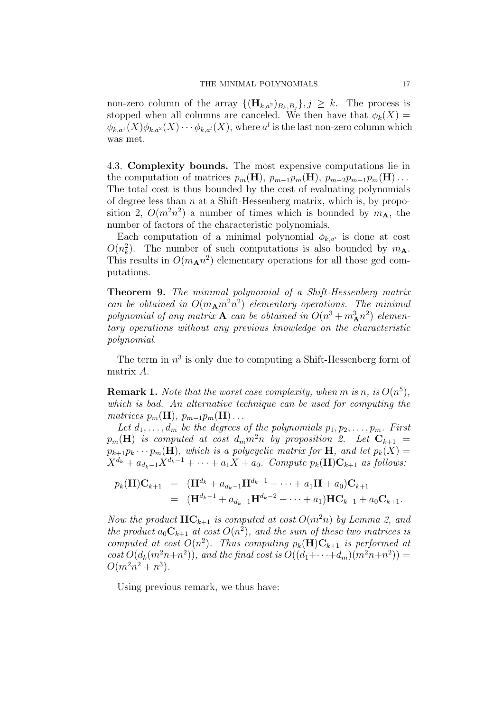non-zero column of the array  ${(\mathbf{H}_{k,a^2})_{B_k,B_j}}$ ,  $j \geq k$ . The process is stopped when all columns are canceled. We then have that  $\phi_k(X) =$  $\phi_{k,a}(X)\phi_{k,a^2}(X)\cdots\phi_{k,a^l}(X)$ , where  $a^l$  is the last non-zero column which was met.

4.3. Complexity bounds. The most expensive computations lie in the computation of matrices  $p_m(\mathbf{H})$ ,  $p_{m-1}p_m(\mathbf{H})$ ,  $p_{m-2}p_{m-1}p_m(\mathbf{H})$ ... The total cost is thus bounded by the cost of evaluating polynomials of degree less than  $n$  at a Shift-Hessenberg matrix, which is, by proposition 2,  $O(m^2n^2)$  a number of times which is bounded by  $m<sub>A</sub>$ , the number of factors of the characteristic polynomials.

Each computation of a minimal polynomial  $\phi_{k,a^i}$  is done at cost  $O(n_k^2)$ . The number of such computations is also bounded by  $m_{\mathbf{A}}$ . This results in  $O(m_A n^2)$  elementary operations for all those gcd computations.

Theorem 9. The minimal polynomial of a Shift-Hessenberg matrix can be obtained in  $O(m_{\rm A}m^2n^2)$  elementary operations. The minimal polynomial of any matrix **A** can be obtained in  $O(n^3 + m_A^3 n^2)$  elementary operations without any previous knowledge on the characteristic polynomial.

The term in  $n^3$  is only due to computing a Shift-Hessenberg form of matrix A.

**Remark 1.** Note that the worst case complexity, when m is n, is  $O(n^5)$ , which is bad. An alternative technique can be used for computing the matrices  $p_m(\mathbf{H}), p_{m-1}p_m(\mathbf{H})\ldots$ 

Let  $d_1, \ldots, d_m$  be the degrees of the polynomials  $p_1, p_2, \ldots, p_m$ . First  $p_m(\mathbf{H})$  is computed at cost  $d_m m^2 n$  by proposition 2. Let  $\mathbf{C}_{k+1}$  =  $p_{k+1}p_k\cdots p_m(H)$ , which is a polycyclic matrix for H, and let  $p_k(X) =$  $X^{d_k} + a_{d_k-1}X^{d_k-1} + \cdots + a_1X + a_0$ . Compute  $p_k(\mathbf{H})\mathbf{C}_{k+1}$  as follows:

$$
p_k(\mathbf{H})\mathbf{C}_{k+1} = (\mathbf{H}^{d_k} + a_{d_k-1}\mathbf{H}^{d_k-1} + \cdots + a_1\mathbf{H} + a_0)\mathbf{C}_{k+1}
$$
  
= (\mathbf{H}^{d\_k-1} + a\_{d\_k-1}\mathbf{H}^{d\_k-2} + \cdots + a\_1)\mathbf{H}\mathbf{C}\_{k+1} + a\_0\mathbf{C}\_{k+1}.

Now the product  $\mathbf{HC}_{k+1}$  is computed at cost  $O(m^2n)$  by Lemma 2, and the product  $a_0C_{k+1}$  at cost  $O(n^2)$ , and the sum of these two matrices is computed at cost  $O(n^2)$ . Thus computing  $p_k(\mathbf{H})\mathbf{C}_{k+1}$  is performed at  $cost\ O(d_k(m^2n+n^2))$ , and the final cost is  $O((d_1+\cdots+d_m)(m^2n+n^2))$  =  $O(m^2n^2 + n^3)$ .

Using previous remark, we thus have: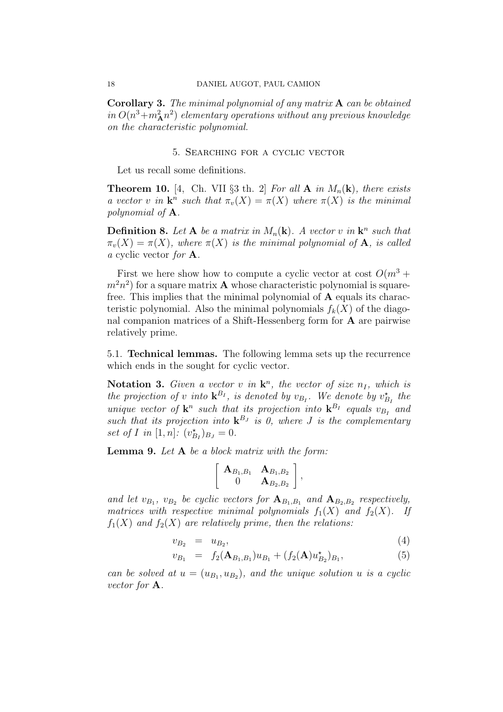Corollary 3. The minimal polynomial of any matrix A can be obtained in  $O(n^3 + m_A^2 n^2)$  elementary operations without any previous knowledge on the characteristic polynomial.

## 5. Searching for a cyclic vector

Let us recall some definitions.

**Theorem 10.** [4, Ch. VII §3 th. 2] For all **A** in  $M_n(\mathbf{k})$ , there exists a vector v in  $\mathbf{k}^n$  such that  $\pi_v(X) = \pi(X)$  where  $\pi(X)$  is the minimal polynomial of A.

**Definition 8.** Let **A** be a matrix in  $M_n(\mathbf{k})$ . A vector v in  $\mathbf{k}^n$  such that  $\pi_v(X) = \pi(X)$ , where  $\pi(X)$  is the minimal polynomial of **A**, is called a cyclic vector for A.

First we here show how to compute a cyclic vector at cost  $O(m^3 +$  $(m<sup>2</sup>n<sup>2</sup>)$  for a square matrix **A** whose characteristic polynomial is squarefree. This implies that the minimal polynomial of  $A$  equals its characteristic polynomial. Also the minimal polynomials  $f_k(X)$  of the diagonal companion matrices of a Shift-Hessenberg form for A are pairwise relatively prime.

5.1. Technical lemmas. The following lemma sets up the recurrence which ends in the sought for cyclic vector.

Notation 3. Given a vector v in  $\mathbf{k}^n$ , the vector of size  $n_I$ , which is the projection of v into  $\mathbf{k}^{B_I}$ , is denoted by  $v_{B_I}$ . We denote by  $v_{B_I}^{\star}$  the unique vector of  $\mathbf{k}^n$  such that its projection into  $\mathbf{k}^{B_I}$  equals  $v_{B_I}$  and such that its projection into  ${\bf k}^{B_J}$  is 0, where J is the complementary set of I in [1, n]:  $(v_{B_I}^{\star})_{B_J} = 0.$ 

**Lemma 9.** Let  $A$  be a block matrix with the form:

$$
\left[ \begin{array}{cc} \mathbf{A}_{B_1,B_1} & \mathbf{A}_{B_1,B_2} \\ 0 & \mathbf{A}_{B_2,B_2} \end{array} \right],
$$

and let  $v_{B_1}$ ,  $v_{B_2}$  be cyclic vectors for  $\mathbf{A}_{B_1,B_1}$  and  $\mathbf{A}_{B_2,B_2}$  respectively, matrices with respective minimal polynomials  $f_1(X)$  and  $f_2(X)$ . If  $f_1(X)$  and  $f_2(X)$  are relatively prime, then the relations:

$$
v_{B_2} = u_{B_2},\tag{4}
$$

$$
v_{B_1} = f_2(\mathbf{A}_{B_1,B_1})u_{B_1} + (f_2(\mathbf{A})u_{B_2}^*)_{B_1},
$$
\n(5)

can be solved at  $u = (u_{B_1}, u_{B_2})$ , and the unique solution u is a cyclic vector for A.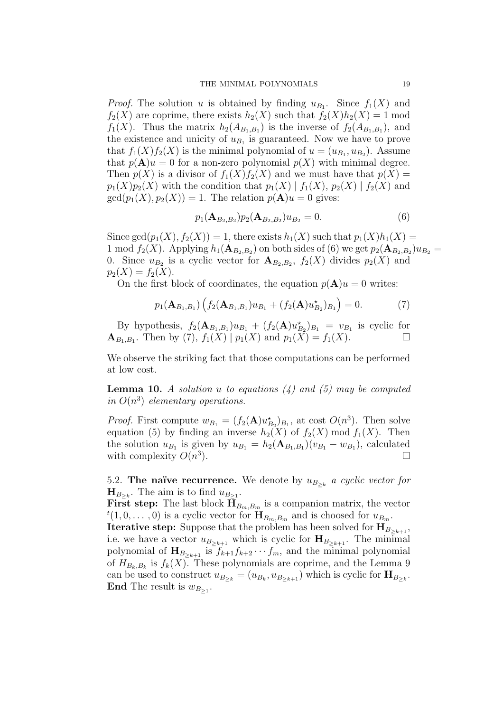*Proof.* The solution u is obtained by finding  $u_{B_1}$ . Since  $f_1(X)$  and  $f_2(X)$  are coprime, there exists  $h_2(X)$  such that  $f_2(X)h_2(X) = 1$  mod  $f_1(X)$ . Thus the matrix  $h_2(A_{B_1,B_1})$  is the inverse of  $f_2(A_{B_1,B_1})$ , and the existence and unicity of  $u_{B_1}$  is guaranteed. Now we have to prove that  $f_1(X)f_2(X)$  is the minimal polynomial of  $u = (u_{B_1}, u_{B_2})$ . Assume that  $p(\mathbf{A})u = 0$  for a non-zero polynomial  $p(X)$  with minimal degree. Then  $p(X)$  is a divisor of  $f_1(X)f_2(X)$  and we must have that  $p(X) =$  $p_1(X)p_2(X)$  with the condition that  $p_1(X) | f_1(X), p_2(X) | f_2(X)$  and  $gcd(p_1(X), p_2(X)) = 1$ . The relation  $p(\mathbf{A})u = 0$  gives:

$$
p_1(\mathbf{A}_{B_2,B_2})p_2(\mathbf{A}_{B_2,B_2})u_{B_2} = 0.
$$
\n(6)

Since  $gcd(p_1(X), f_2(X)) = 1$ , there exists  $h_1(X)$  such that  $p_1(X)h_1(X) =$ 1 mod  $f_2(X)$ . Applying  $h_1(\mathbf{A}_{B_2,B_2})$  on both sides of (6) we get  $p_2(\mathbf{A}_{B_2,B_2})u_{B_2} =$ 0. Since  $u_{B_2}$  is a cyclic vector for  $\mathbf{A}_{B_2,B_2}$ ,  $f_2(X)$  divides  $p_2(X)$  and  $p_2(X) = f_2(X).$ 

On the first block of coordinates, the equation  $p(\mathbf{A})u = 0$  writes:

$$
p_1(\mathbf{A}_{B_1,B_1})\left(f_2(\mathbf{A}_{B_1,B_1})u_{B_1}+(f_2(\mathbf{A})u_{B_2}^{\star})_{B_1}\right)=0.
$$
 (7)

By hypothesis,  $f_2(\mathbf{A}_{B_1,B_1})u_{B_1} + (f_2(\mathbf{A})u_{B_2}^{\star})_{B_1} = v_{B_1}$  is cyclic for  $\mathbf{A}_{B_1,B_1}$ . Then by (7),  $f_1(X) | p_1(X)$  and  $p_1(X) = f_1(X)$ .

We observe the striking fact that those computations can be performed at low cost.

**Lemma 10.** A solution u to equations  $(4)$  and  $(5)$  may be computed in  $O(n^3)$  elementary operations.

*Proof.* First compute  $w_{B_1} = (f_2(\mathbf{A})u_{B_2}^*)_{B_1}$ , at cost  $O(n^3)$ . Then solve equation (5) by finding an inverse  $h_2(X)$  of  $f_2(X) \text{ mod } f_1(X)$ . Then the solution  $u_{B_1}$  is given by  $u_{B_1} = h_2(\mathbf{A}_{B_1,B_1})(v_{B_1} - w_{B_1})$ , calculated with complexity  $O(n^3)$ ).  $\Box$ 

5.2. The naïve recurrence. We denote by  $u_{B_{\geq k}}$  a cyclic vector for  $H_{B_{>k}}$ . The aim is to find  $u_{B_{>1}}$ .

**First step:** The last block  $\mathbf{H}_{B_m,B_m}$  is a companion matrix, the vector  $t(1,0,\ldots,0)$  is a cyclic vector for  $\mathbf{H}_{B_m,B_m}$  and is choosed for  $u_{B_m}$ .

**Iterative step:** Suppose that the problem has been solved for  $\mathbf{H}_{B_{>k+1}},$ i.e. we have a vector  $u_{B_{\geq k+1}}$  which is cyclic for  $\mathbf{H}_{B_{\geq k+1}}$ . The minimal polynomial of  $\mathbf{H}_{B_{\geq k+1}}$  is  $f_{k+1}f_{k+2}\cdots f_m$ , and the minimal polynomial of  $H_{B_k, B_k}$  is  $f_k(X)$ . These polynomials are coprime, and the Lemma 9 can be used to construct  $u_{B_{\geq k}} = (u_{B_k}, u_{B_{\geq k+1}})$  which is cyclic for  $\mathbf{H}_{B_{\geq k}}$ . End The result is  $w_{B_{\geq 1}}$ .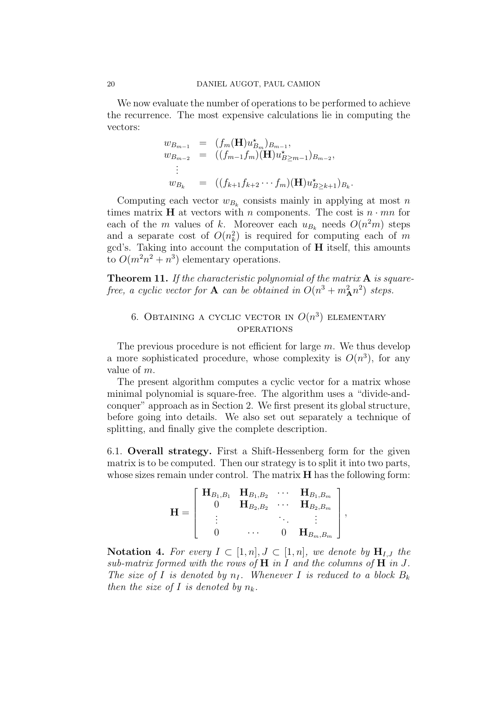We now evaluate the number of operations to be performed to achieve the recurrence. The most expensive calculations lie in computing the vectors:

$$
w_{B_{m-1}} = (f_m(\mathbf{H})u_{B_m}^*)_{B_{m-1}},
$$
  
\n
$$
w_{B_{m-2}} = ((f_{m-1}f_m)(\mathbf{H})u_{B \ge m-1}^*)_{B_{m-2}},
$$
  
\n
$$
\vdots
$$
  
\n
$$
w_{B_k} = ((f_{k+1}f_{k+2}\cdots f_m)(\mathbf{H})u_{B \ge k+1}^*)_{B_k}
$$

.

Computing each vector  $w_{B_k}$  consists mainly in applying at most n times matrix **H** at vectors with n components. The cost is  $n \cdot mn$  for each of the m values of k. Moreover each  $u_{B_k}$  needs  $O(n^2m)$  steps and a separate cost of  $O(n_k^2)$  is required for computing each of m gcd's. Taking into account the computation of H itself, this amounts to  $O(m^2n^2 + n^3)$  elementary operations.

**Theorem 11.** If the characteristic polynomial of the matrix  $A$  is squarefree, a cyclic vector for **A** can be obtained in  $O(n^3 + m_A^2 n^2)$  steps.

## 6. Obtaining a cyclic vector in  $O(n^3)$  elementary **OPERATIONS**

The previous procedure is not efficient for large  $m$ . We thus develop a more sophisticated procedure, whose complexity is  $O(n^3)$ , for any value of m.

The present algorithm computes a cyclic vector for a matrix whose minimal polynomial is square-free. The algorithm uses a "divide-andconquer" approach as in Section 2. We first present its global structure, before going into details. We also set out separately a technique of splitting, and finally give the complete description.

6.1. Overall strategy. First a Shift-Hessenberg form for the given matrix is to be computed. Then our strategy is to split it into two parts, whose sizes remain under control. The matrix **H** has the following form:

$$
\mathbf{H} = \left[ \begin{array}{cccc} \mathbf{H}_{B_1,B_1} & \mathbf{H}_{B_1,B_2} & \cdots & \mathbf{H}_{B_1,B_m} \\ 0 & \mathbf{H}_{B_2,B_2} & \cdots & \mathbf{H}_{B_2,B_m} \\ \vdots & \vdots & \ddots & \vdots \\ 0 & \cdots & 0 & \mathbf{H}_{B_m,B_m} \end{array} \right],
$$

Notation 4. For every  $I \subset [1,n], J \subset [1,n]$ , we denote by  $H_{I,J}$  the sub-matrix formed with the rows of  $H$  in I and the columns of  $H$  in J. The size of I is denoted by  $n_I$ . Whenever I is reduced to a block  $B_k$ then the size of I is denoted by  $n_k$ .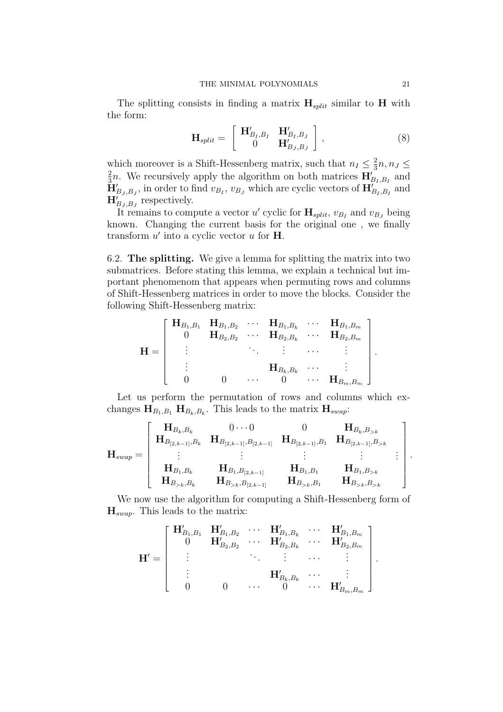The splitting consists in finding a matrix  $\mathbf{H}_{split}$  similar to H with the form:

$$
\mathbf{H}_{split} = \begin{bmatrix} \mathbf{H}_{B_I,B_I}^{\prime} & \mathbf{H}_{B_I,B_J}^{\prime} \\ 0 & \mathbf{H}_{B_J,B_J}^{\prime} \end{bmatrix}, \qquad (8)
$$

which moreover is a Shift-Hessenberg matrix, such that  $n_I \leq \frac{2}{3}$  $\frac{2}{3}n, n_J \leq$ 2  $\frac{2}{3}n$ . We recursively apply the algorithm on both matrices  $\mathbf{H}_{B_I,B_I}$  and  $\check{\mathbf{H}}'_{B_J, B_J}$ , in order to find  $v_{B_I}, v_{B_J}$  which are cyclic vectors of  $\mathbf{H}'_{B_I, B_I}$  and  $\mathbf{H}_{B_J,B_J}^{\prime}$  respectively.

It remains to compute a vector u' cyclic for  $\mathbf{H}_{split}$ ,  $v_{B_I}$  and  $v_{B_J}$  being known. Changing the current basis for the original one , we finally transform  $u'$  into a cyclic vector  $u$  for **H**.

6.2. The splitting. We give a lemma for splitting the matrix into two submatrices. Before stating this lemma, we explain a technical but important phenomenom that appears when permuting rows and columns of Shift-Hessenberg matrices in order to move the blocks. Consider the following Shift-Hessenberg matrix:

$$
\mathbf{H} = \left[ \begin{array}{ccccc} \mathbf{H}_{B_1,B_1} & \mathbf{H}_{B_1,B_2} & \cdots & \mathbf{H}_{B_1,B_k} & \cdots & \mathbf{H}_{B_1,B_m} \\ 0 & \mathbf{H}_{B_2,B_2} & \cdots & \mathbf{H}_{B_2,B_k} & \cdots & \mathbf{H}_{B_2,B_m} \\ \vdots & \vdots & \ddots & \vdots & \cdots & \vdots \\ \mathbf{H}_{B_k,B_k} & \cdots & \mathbf{H}_{B_m,B_m} & \cdots & \mathbf{H}_{B_m,B_m} \end{array} \right]
$$

Let us perform the permutation of rows and columns which exchanges  $H_{B_1,B_1}$   $H_{B_k,B_k}$ . This leads to the matrix  $H_{swap}$ :

$$
\mathbf{H}_{swap} = \left[ \begin{array}{cccccc} \mathbf{H}_{B_k,B_k} & 0 \cdots 0 & 0 & \mathbf{H}_{B_k,B_{>k}} \\ \mathbf{H}_{B_{[2,k-1]},B_k} & \mathbf{H}_{B_{[2,k-1]},B_{[2,k-1]}} & \mathbf{H}_{B_{[2,k-1]},B_1} & \mathbf{H}_{B_{[2,k-1]},B_{>k}} \\ \vdots & \vdots & \vdots & \vdots \\ \mathbf{H}_{B_1,B_k} & \mathbf{H}_{B_1,B_{[2,k-1]}} & \mathbf{H}_{B_1,B_1} & \mathbf{H}_{B_1,B_{>k}} \\ \mathbf{H}_{B_{>k},B_k} & \mathbf{H}_{B_{>k},B_{[2,k-1]}} & \mathbf{H}_{B_{>k},B_1} & \mathbf{H}_{B_{>k},B_{>k}} \end{array} \right].
$$

We now use the algorithm for computing a Shift-Hessenberg form of  $\mathbf{H}_{swap}$ . This leads to the matrix:

$$
\mathbf{H}' = \left[ \begin{array}{ccccc} \mathbf{H}_{B_1,B_1}' & \mathbf{H}_{B_1,B_2}' & \cdots & \mathbf{H}_{B_1,B_k}' & \cdots & \mathbf{H}_{B_1,B_m}' \\ 0 & \mathbf{H}_{B_2,B_2}' & \cdots & \mathbf{H}_{B_2,B_k}' & \cdots & \mathbf{H}_{B_2,B_m}' \\ \vdots & \vdots & \ddots & \vdots & \cdots & \vdots \\ \mathbf{H}_{B_k,B_k}' & \cdots & \mathbf{H}_{B_m,B_m}' \end{array} \right]
$$

.

.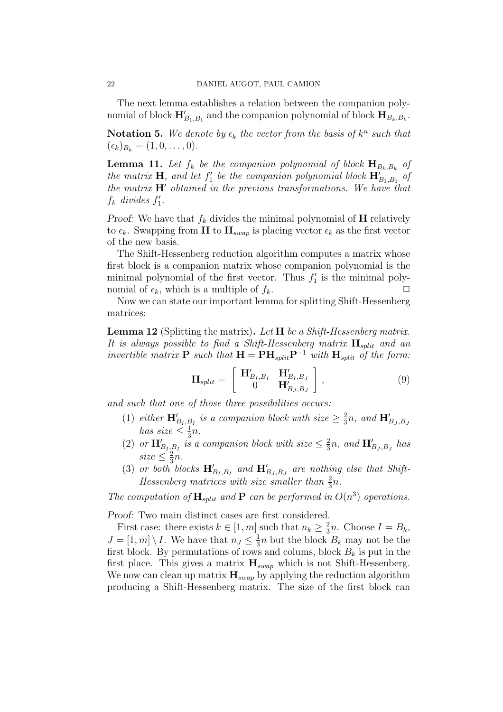The next lemma establishes a relation between the companion polynomial of block  $\mathbf{H}_{B_1,B_1}'$  and the companion polynomial of block  $\mathbf{H}_{B_k,B_k}$ .

**Notation 5.** We denote by  $\epsilon_k$  the vector from the basis of  $k^n$  such that  $(\epsilon_k)_{B_k} = (1, 0, \ldots, 0).$ 

**Lemma 11.** Let  $f_k$  be the companion polynomial of block  $\mathbf{H}_{B_k,B_k}$  of the matrix **H**, and let  $f_1'$  be the companion polynomial block  $\mathbf{H}'_{B_1,B_1}$  of the matrix  $H'$  obtained in the previous transformations. We have that  $f_k$  divides  $f'_1$ .

Proof: We have that  $f_k$  divides the minimal polynomial of  $H$  relatively to  $\epsilon_k$ . Swapping from H to  $H_{swap}$  is placing vector  $\epsilon_k$  as the first vector of the new basis.

The Shift-Hessenberg reduction algorithm computes a matrix whose first block is a companion matrix whose companion polynomial is the minimal polynomial of the first vector. Thus  $f_1'$  is the minimal polynomial of  $\epsilon_k$ , which is a multiple of  $f_k$ .

Now we can state our important lemma for splitting Shift-Hessenberg matrices:

**Lemma 12** (Splitting the matrix). Let  $H$  be a Shift-Hessenberg matrix. It is always possible to find a Shift-Hessenberg matrix  $\mathbf{H}_{split}$  and an invertible matrix **P** such that  $H = PH_{split}P^{-1}$  with  $H_{split}$  of the form:

$$
\mathbf{H}_{split} = \begin{bmatrix} \mathbf{H}_{B_I, B_I}' & \mathbf{H}_{B_I, B_J}' \\ 0 & \mathbf{H}_{B_J, B_J}' \end{bmatrix}, \tag{9}
$$

and such that one of those three possibilities occurs:

- (1) either  $\mathbf{H}_{B_I,B_I}'$  is a companion block with size  $\geq \frac{2}{3}$  $\frac{2}{3}n$ , and  $\mathbf{H}_{B_J,B_J}^{\prime}$ has size  $\leq \frac{1}{3}$  $\frac{1}{3}n$ .
- (2) or  $\mathbf{H}_{B_I,B_I}'$  is a companion block with size  $\leq \frac{2}{3}$  $\frac{2}{3}n$ , and  $\mathbf{H}_{B_J,B_J}^{\prime}$  has  $size \leq \frac{2}{3}$  $rac{2}{3}n$ .
- (3) or both blocks  $\mathbf{H}_{B_I,B_I}'$  and  $\mathbf{H}_{B_J,B_J}'$  are nothing else that Shift-Hessenberg matrices with size smaller than  $\frac{2}{3}n$ .

The computation of  $\mathbf{H}_{split}$  and  $\mathbf{P}$  can be performed in  $O(n^3)$  operations.

Proof: Two main distinct cases are first considered.

First case: there exists  $k \in [1, m]$  such that  $n_k \geq \frac{2}{3}$  $\frac{2}{3}n$ . Choose  $I = B_k$ ,  $J = [1, m] \setminus I$ . We have that  $n_J \leq \frac{1}{3}$  $\frac{1}{3}n$  but the block  $B_k$  may not be the first block. By permutations of rows and colums, block  $B_k$  is put in the first place. This gives a matrix  $H_{swap}$  which is not Shift-Hessenberg. We now can clean up matrix  $\mathbf{H}_{swap}$  by applying the reduction algorithm producing a Shift-Hessenberg matrix. The size of the first block can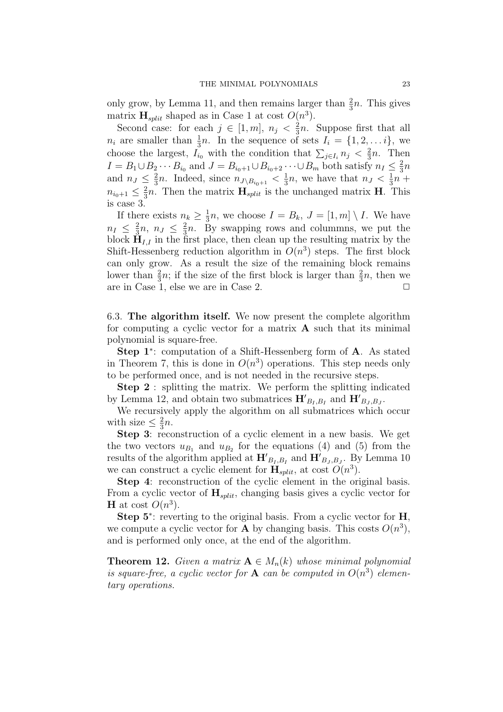only grow, by Lemma 11, and then remains larger than  $\frac{2}{3}n$ . This gives matrix  $\mathbf{H}_{split}$  shaped as in Case 1 at cost  $O(n^3)$ .

Second case: for each  $j \in [1, m], n_j < \frac{2}{3}$  $\frac{2}{3}n$ . Suppose first that all  $n_i$  are smaller than  $\frac{1}{3}n$ . In the sequence of sets  $I_i = \{1, 2, \ldots i\}$ , we choose the largest,  $I_{i_0}$  with the condition that  $\sum_{j\in I_i} n_j < \frac{2}{3}$  $rac{2}{3}n$ . Then  $I = B_1 \cup B_2 \cdots B_{i_0}$  and  $J = B_{i_0+1} \cup B_{i_0+2} \cdots \cup B_m$  both satisfy  $n_I \leq \frac{2}{3}$  $\frac{2}{3}n$ and  $n_J \leq \frac{2}{3}$  $\frac{2}{3}n$ . Indeed, since  $n_{J\setminus B_{i_0+1}} < \frac{1}{3}$  $\frac{1}{3}n$ , we have that  $n_J < \frac{1}{3}$  $\frac{1}{3}n +$  $n_{i_0+1} \leq \frac{2}{3}$  $\frac{2}{3}n$ . Then the matrix  $\mathbf{H}_{split}$  is the unchanged matrix **H**. This is case 3.

If there exists  $n_k \geq \frac{1}{3}$  $\frac{1}{3}n$ , we choose  $I = B_k$ ,  $J = [1, m] \setminus I$ . We have  $n_I \leq \frac{2}{3}$  $\frac{2}{3}n, n_J \leq \frac{2}{3}$  $\frac{2}{3}n$ . By swapping rows and columns, we put the block  $\mathbf{H}_{I,I}$  in the first place, then clean up the resulting matrix by the Shift-Hessenberg reduction algorithm in  $O(n^3)$  steps. The first block can only grow. As a result the size of the remaining block remains lower than  $\frac{2}{3}n$ ; if the size of the first block is larger than  $\frac{2}{3}n$ , then we are in Case 1, else we are in Case 2.  $\Box$ 

6.3. The algorithm itself. We now present the complete algorithm for computing a cyclic vector for a matrix  $A$  such that its minimal polynomial is square-free.

Step 1<sup>∗</sup> : computation of a Shift-Hessenberg form of A. As stated in Theorem 7, this is done in  $O(n^3)$  operations. This step needs only to be performed once, and is not needed in the recursive steps.

Step 2 : splitting the matrix. We perform the splitting indicated by Lemma 12, and obtain two submatrices  $\mathbf{H'}_{B_I,B_I}$  and  $\mathbf{H'}_{B_J,B_J}$ .

We recursively apply the algorithm on all submatrices which occur with size  $\leq \frac{2}{3}$  $rac{2}{3}n$ .

Step 3: reconstruction of a cyclic element in a new basis. We get the two vectors  $u_{B_1}$  and  $u_{B_2}$  for the equations (4) and (5) from the results of the algorithm applied at  $\mathbf{H'}_{B_I,B_I}$  and  $\mathbf{H'}_{B_J,B_J}$ . By Lemma 10 we can construct a cyclic element for  $\mathbf{H}_{split}$ , at cost  $O(n^3)$ .

Step 4: reconstruction of the cyclic element in the original basis. From a cyclic vector of  $\mathbf{H}_{split}$ , changing basis gives a cyclic vector for **H** at cost  $O(n^3)$ .

Step 5<sup>∗</sup>: reverting to the original basis. From a cyclic vector for **H**, we compute a cyclic vector for **A** by changing basis. This costs  $O(n^3)$ , and is performed only once, at the end of the algorithm.

**Theorem 12.** Given a matrix  $A \in M_n(k)$  whose minimal polynomial is square-free, a cyclic vector for **A** can be computed in  $O(n^3)$  elementary operations.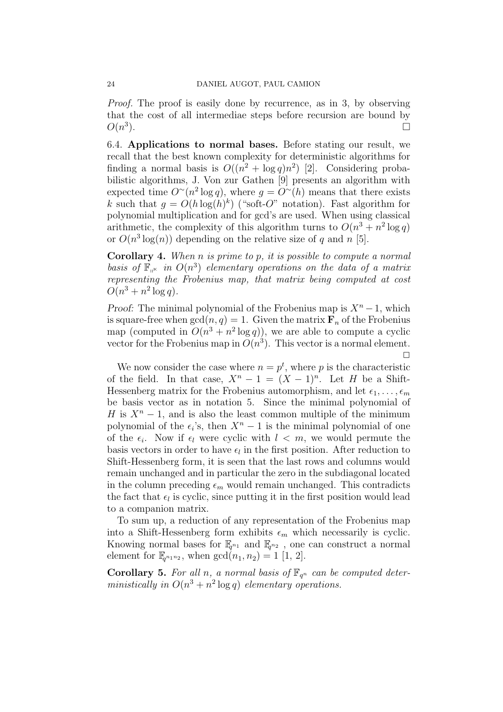Proof. The proof is easily done by recurrence, as in 3, by observing that the cost of all intermediae steps before recursion are bound by  $O(n^3)$ ).  $\Box$ 

6.4. Applications to normal bases. Before stating our result, we recall that the best known complexity for deterministic algorithms for finding a normal basis is  $O((n^2 + \log q)n^2)$  [2]. Considering probabilistic algorithms, J. Von zur Gathen [9] presents an algorithm with expected time  $O<sup>∼</sup>(n<sup>2</sup> log q)$ , where  $q = O<sup>∼</sup>(h)$  means that there exists k such that  $g = O(h \log(h)^k)$  ("soft-O" notation). Fast algorithm for polynomial multiplication and for gcd's are used. When using classical arithmetic, the complexity of this algorithm turns to  $O(n^3 + n^2 \log q)$ or  $O(n^3 \log(n))$  depending on the relative size of q and n [5].

**Corollary 4.** When  $n$  is prime to  $p$ , it is possible to compute a normal basis of  $\mathbb{F}_{n^k}$  in  $O(n^3)$  elementary operations on the data of a matrix representing the Frobenius map, that matrix being computed at cost  $O(n^3 + n^2 \log q)$ .

*Proof:* The minimal polynomial of the Frobenius map is  $X<sup>n</sup> - 1$ , which is square-free when  $gcd(n, q) = 1$ . Given the matrix  $\mathbf{F}_n$  of the Frobenius map (computed in  $O(n^3 + n^2 \log q)$ ), we are able to compute a cyclic vector for the Frobenius map in  $O(n^3)$ . This vector is a normal element.  $\Box$ 

We now consider the case where  $n = p^t$ , where p is the characteristic of the field. In that case,  $X^n - 1 = (X - 1)^n$ . Let H be a Shift-Hessenberg matrix for the Frobenius automorphism, and let  $\epsilon_1, \ldots, \epsilon_m$ be basis vector as in notation 5. Since the minimal polynomial of H is  $X<sup>n</sup> - 1$ , and is also the least common multiple of the minimum polynomial of the  $\epsilon_i$ 's, then  $X^n - 1$  is the minimal polynomial of one of the  $\epsilon_i$ . Now if  $\epsilon_l$  were cyclic with  $l < m$ , we would permute the basis vectors in order to have  $\epsilon_l$  in the first position. After reduction to Shift-Hessenberg form, it is seen that the last rows and columns would remain unchanged and in particular the zero in the subdiagonal located in the column preceding  $\epsilon_m$  would remain unchanged. This contradicts the fact that  $\epsilon_l$  is cyclic, since putting it in the first position would lead to a companion matrix.

To sum up, a reduction of any representation of the Frobenius map into a Shift-Hessenberg form exhibits  $\epsilon_m$  which necessarily is cyclic. Knowing normal bases for  $\mathbb{F}_{q^{n_1}}$  and  $\mathbb{F}_{q^{n_2}}$ , one can construct a normal element for  $\mathbb{F}_{q^{n_1 n_2}}$ , when  $gcd(n_1, n_2) = 1$  [1, 2].

**Corollary 5.** For all n, a normal basis of  $\mathbb{F}_{q^n}$  can be computed deterministically in  $O(n^3 + n^2 \log q)$  elementary operations.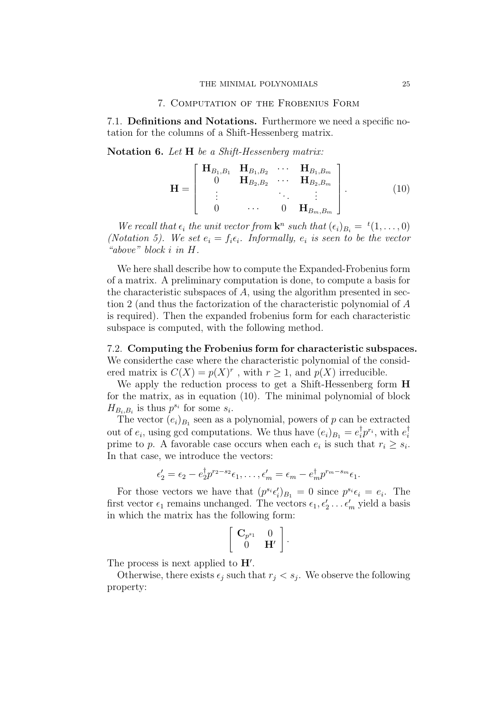#### 7. Computation of the Frobenius Form

7.1. Definitions and Notations. Furthermore we need a specific notation for the columns of a Shift-Hessenberg matrix.

Notation 6. Let H be a Shift-Hessenberg matrix:

$$
\mathbf{H} = \begin{bmatrix} \mathbf{H}_{B_1,B_1} & \mathbf{H}_{B_1,B_2} & \cdots & \mathbf{H}_{B_1,B_m} \\ 0 & \mathbf{H}_{B_2,B_2} & \cdots & \mathbf{H}_{B_2,B_m} \\ \vdots & \ddots & \vdots & \vdots \\ 0 & \cdots & 0 & \mathbf{H}_{B_m,B_m} \end{bmatrix} .
$$
 (10)

We recall that  $\epsilon_i$  the unit vector from  $\mathbf{k}^n$  such that  $(\epsilon_i)_{B_i} = {}^t(1,\ldots,0)$ (Notation 5). We set  $e_i = f_i \epsilon_i$ . Informally,  $e_i$  is seen to be the vector "above" block i in H.

We here shall describe how to compute the Expanded-Frobenius form of a matrix. A preliminary computation is done, to compute a basis for the characteristic subspaces of  $A$ , using the algorithm presented in section 2 (and thus the factorization of the characteristic polynomial of A is required). Then the expanded frobenius form for each characteristic subspace is computed, with the following method.

7.2. Computing the Frobenius form for characteristic subspaces. We considerthe case where the characteristic polynomial of the considered matrix is  $C(X) = p(X)^r$ , with  $r \geq 1$ , and  $p(X)$  irreducible.

We apply the reduction process to get a Shift-Hessenberg form **H** for the matrix, as in equation (10). The minimal polynomial of block  $H_{B_i,B_i}$  is thus  $p^{s_i}$  for some  $s_i$ .

The vector  $(e_i)_{B_1}$  seen as a polynomial, powers of p can be extracted out of  $e_i$ , using gcd computations. We thus have  $(e_i)_{B_1} = e_i^{\dagger} p^{r_i}$ , with  $e_i^{\dagger}$ i prime to p. A favorable case occurs when each  $e_i$  is such that  $r_i \geq s_i$ . In that case, we introduce the vectors:

$$
\epsilon'_2 = \epsilon_2 - e_2^{\dagger} p^{r_2 - s_2} \epsilon_1, \dots, \epsilon'_m = \epsilon_m - e_m^{\dagger} p^{r_m - s_m} \epsilon_1.
$$

For those vectors we have that  $(p^{s_i} \epsilon'_i)_{B_1} = 0$  since  $p^{s_i} \epsilon_i = e_i$ . The first vector  $\epsilon_1$  remains unchanged. The vectors  $\epsilon_1, \epsilon'_2 \dots \epsilon'_m$  yield a basis in which the matrix has the following form:

.<br> $\overline{r}$ 

$$
\begin{bmatrix}\n\mathbf{C}_{p^{s_1}} & 0 \\
0 & \mathbf{H}'\n\end{bmatrix}.
$$

The process is next applied to  $H'$ .

Otherwise, there exists  $\epsilon_j$  such that  $r_j < s_j$ . We observe the following property: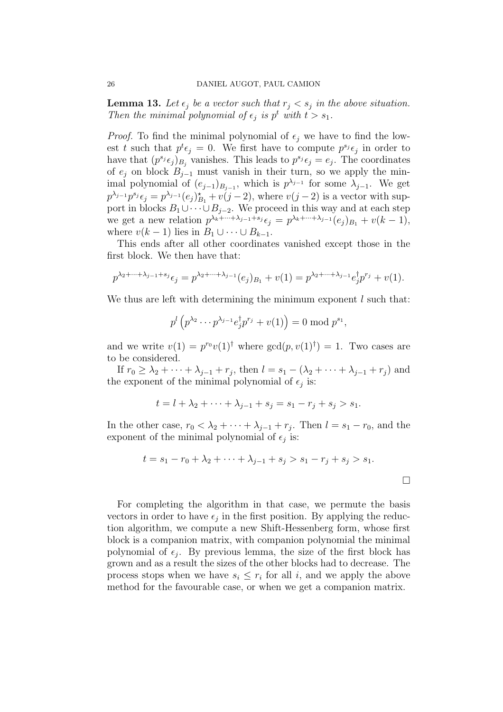**Lemma 13.** Let  $\epsilon_j$  be a vector such that  $r_j < s_j$  in the above situation. Then the minimal polynomial of  $\epsilon_j$  is  $p^t$  with  $t > s_1$ .

*Proof.* To find the minimal polynomial of  $\epsilon_i$  we have to find the lowest t such that  $p^t \epsilon_j = 0$ . We first have to compute  $p^{s_j} \epsilon_j$  in order to have that  $(p^{s_j} \epsilon_j)_{B_j}$  vanishes. This leads to  $p^{s_j} \epsilon_j = e_j$ . The coordinates of  $e_i$  on block  $B_{i-1}$  must vanish in their turn, so we apply the minimal polynomial of  $(e_{j-1})_{B_{j-1}}$ , which is  $p^{\lambda_{j-1}}$  for some  $\lambda_{j-1}$ . We get  $p^{\lambda_{j-1}}p^{s_j}\epsilon_j = p^{\lambda_{j-1}}(e_j)_{B_1}^* + v(j-2)$ , where  $v(j-2)$  is a vector with support in blocks  $B_1 \cup \cdots \cup B_{j-2}$ . We proceed in this way and at each step we get a new relation  $p^{\lambda_k + \dots + \lambda_{j-1} + s_j} \epsilon_j = p^{\lambda_k + \dots + \lambda_{j-1}} (e_j)_{B_1} + v(k-1),$ where  $v(k-1)$  lies in  $B_1 \cup \cdots \cup B_{k-1}$ .

This ends after all other coordinates vanished except those in the first block. We then have that:

$$
p^{\lambda_2 + \dots + \lambda_{j-1} + s_j} \epsilon_j = p^{\lambda_2 + \dots + \lambda_{j-1}}(e_j)_{B_1} + v(1) = p^{\lambda_2 + \dots + \lambda_{j-1}} e_j^{\dagger} p^{r_j} + v(1).
$$

We thus are left with determining the minimum exponent  $l$  such that:

$$
p^{l} \left( p^{\lambda_2} \cdots p^{\lambda_{j-1}} e_j^{\dagger} p^{r_j} + v(1) \right) = 0 \bmod p^{s_1},
$$

and we write  $v(1) = p^{r_0}v(1)^\dagger$  where  $gcd(p, v(1)^\dagger) = 1$ . Two cases are to be considered.

If  $r_0 \geq \lambda_2 + \cdots + \lambda_{j-1} + r_j$ , then  $l = s_1 - (\lambda_2 + \cdots + \lambda_{j-1} + r_j)$  and the exponent of the minimal polynomial of  $\epsilon_j$  is:

$$
t = l + \lambda_2 + \dots + \lambda_{j-1} + s_j = s_1 - r_j + s_j > s_1.
$$

In the other case,  $r_0 < \lambda_2 + \cdots + \lambda_{j-1} + r_j$ . Then  $l = s_1 - r_0$ , and the exponent of the minimal polynomial of  $\epsilon_j$  is:

$$
t = s_1 - r_0 + \lambda_2 + \dots + \lambda_{j-1} + s_j > s_1 - r_j + s_j > s_1.
$$

 $\Box$ 

For completing the algorithm in that case, we permute the basis vectors in order to have  $\epsilon_j$  in the first position. By applying the reduction algorithm, we compute a new Shift-Hessenberg form, whose first block is a companion matrix, with companion polynomial the minimal polynomial of  $\epsilon_j$ . By previous lemma, the size of the first block has grown and as a result the sizes of the other blocks had to decrease. The process stops when we have  $s_i \leq r_i$  for all i, and we apply the above method for the favourable case, or when we get a companion matrix.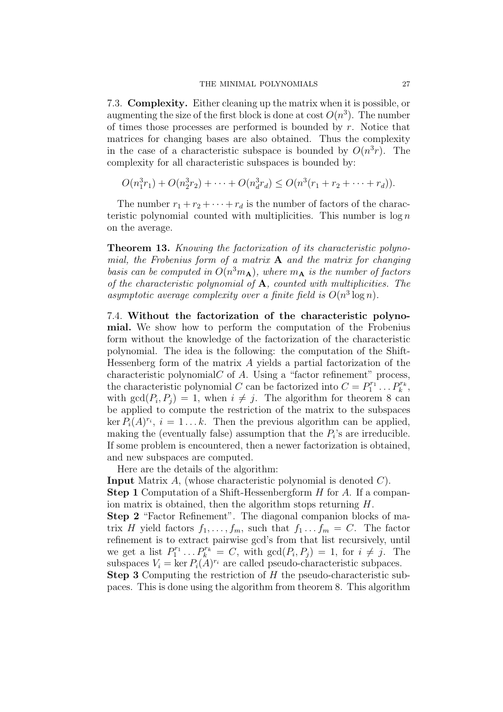7.3. Complexity. Either cleaning up the matrix when it is possible, or augmenting the size of the first block is done at cost  $O(n^3)$ . The number of times those processes are performed is bounded by  $r$ . Notice that matrices for changing bases are also obtained. Thus the complexity in the case of a characteristic subspace is bounded by  $O(n^3r)$ . The complexity for all characteristic subspaces is bounded by:

$$
O(n_1^3r_1) + O(n_2^3r_2) + \cdots + O(n_d^3r_d) \leq O(n^3(r_1 + r_2 + \cdots + r_d)).
$$

The number  $r_1 + r_2 + \cdots + r_d$  is the number of factors of the characteristic polynomial counted with multiplicities. This number is  $\log n$ on the average.

Theorem 13. Knowing the factorization of its characteristic polynomial, the Frobenius form of a matrix  $A$  and the matrix for changing basis can be computed in  $O(n^3m_A)$ , where  $m_A$  is the number of factors of the characteristic polynomial of  $A$ , counted with multiplicities. The asymptotic average complexity over a finite field is  $O(n^3 \log n)$ .

7.4. Without the factorization of the characteristic polynomial. We show how to perform the computation of the Frobenius form without the knowledge of the factorization of the characteristic polynomial. The idea is the following: the computation of the Shift-Hessenberg form of the matrix A yields a partial factorization of the characteristic polynomial $C$  of  $A$ . Using a "factor refinement" process, the characteristic polynomial C can be factorized into  $C = P_1^{r_1} \dots P_k^{r_k}$ , with  $gcd(P_i, P_j) = 1$ , when  $i \neq j$ . The algorithm for theorem 8 can be applied to compute the restriction of the matrix to the subspaces ker  $P_i(A)^{r_i}$ ,  $i = 1...k$ . Then the previous algorithm can be applied, making the (eventually false) assumption that the  $P_i$ 's are irreducible. If some problem is encountered, then a newer factorization is obtained, and new subspaces are computed.

Here are the details of the algorithm:

**Input** Matrix A, (whose characteristic polynomial is denoted  $C$ ).

**Step 1** Computation of a Shift-Hessenbergform H for A. If a companion matrix is obtained, then the algorithm stops returning H.

Step 2 "Factor Refinement". The diagonal companion blocks of matrix H yield factors  $f_1, \ldots, f_m$ , such that  $f_1 \ldots f_m = C$ . The factor refinement is to extract pairwise gcd's from that list recursively, until we get a list  $P_1^{r_1} \dots P_k^{r_k} = C$ , with  $gcd(P_i, P_j) = 1$ , for  $i \neq j$ . The subspaces  $V_i = \ker P_i(A)^{r_i}$  are called pseudo-characteristic subpaces. **Step 3** Computing the restriction of H the pseudo-characteristic sub-

paces. This is done using the algorithm from theorem 8. This algorithm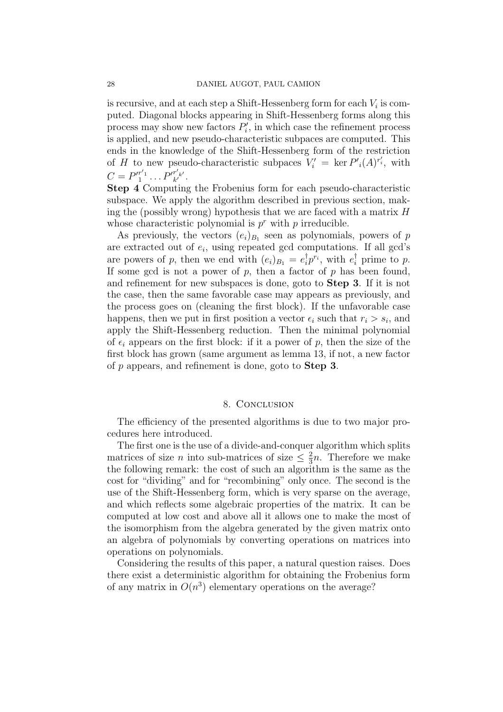is recursive, and at each step a Shift-Hessenberg form for each  $V_i$  is computed. Diagonal blocks appearing in Shift-Hessenberg forms along this process may show new factors  $P'_i$ , in which case the refinement process is applied, and new pseudo-characteristic subpaces are computed. This ends in the knowledge of the Shift-Hessenberg form of the restriction of H to new pseudo-characteristic subpaces  $V_i' = \ker P'_{i}(A)^{r'_{i}}$ , with  $C = P'^{r'_{1}}_{1} \dots P'^{r'_{k'}}_{k'}$ .

Step 4 Computing the Frobenius form for each pseudo-characteristic subspace. We apply the algorithm described in previous section, making the (possibly wrong) hypothesis that we are faced with a matrix  $H$ whose characteristic polynomial is  $p^r$  with p irreducible.

As previously, the vectors  $(e_i)_{B_1}$  seen as polynomials, powers of p are extracted out of  $e_i$ , using repeated gcd computations. If all gcd's are powers of p, then we end with  $(e_i)_{B_1} = e_i^{\dagger} p^{r_i}$ , with  $e_i^{\dagger}$  prime to p. If some gcd is not a power of  $p$ , then a factor of  $p$  has been found, and refinement for new subspaces is done, goto to Step 3. If it is not the case, then the same favorable case may appears as previously, and the process goes on (cleaning the first block). If the unfavorable case happens, then we put in first position a vector  $\epsilon_i$  such that  $r_i > s_i$ , and apply the Shift-Hessenberg reduction. Then the minimal polynomial of  $\epsilon_i$  appears on the first block: if it a power of p, then the size of the first block has grown (same argument as lemma 13, if not, a new factor of p appears, and refinement is done, goto to **Step 3**.

### 8. Conclusion

The efficiency of the presented algorithms is due to two major procedures here introduced.

The first one is the use of a divide-and-conquer algorithm which splits matrices of size n into sub-matrices of size  $\leq \frac{2}{3}$  $\frac{2}{3}n$ . Therefore we make the following remark: the cost of such an algorithm is the same as the cost for "dividing" and for "recombining" only once. The second is the use of the Shift-Hessenberg form, which is very sparse on the average, and which reflects some algebraic properties of the matrix. It can be computed at low cost and above all it allows one to make the most of the isomorphism from the algebra generated by the given matrix onto an algebra of polynomials by converting operations on matrices into operations on polynomials.

Considering the results of this paper, a natural question raises. Does there exist a deterministic algorithm for obtaining the Frobenius form of any matrix in  $O(n^3)$  elementary operations on the average?